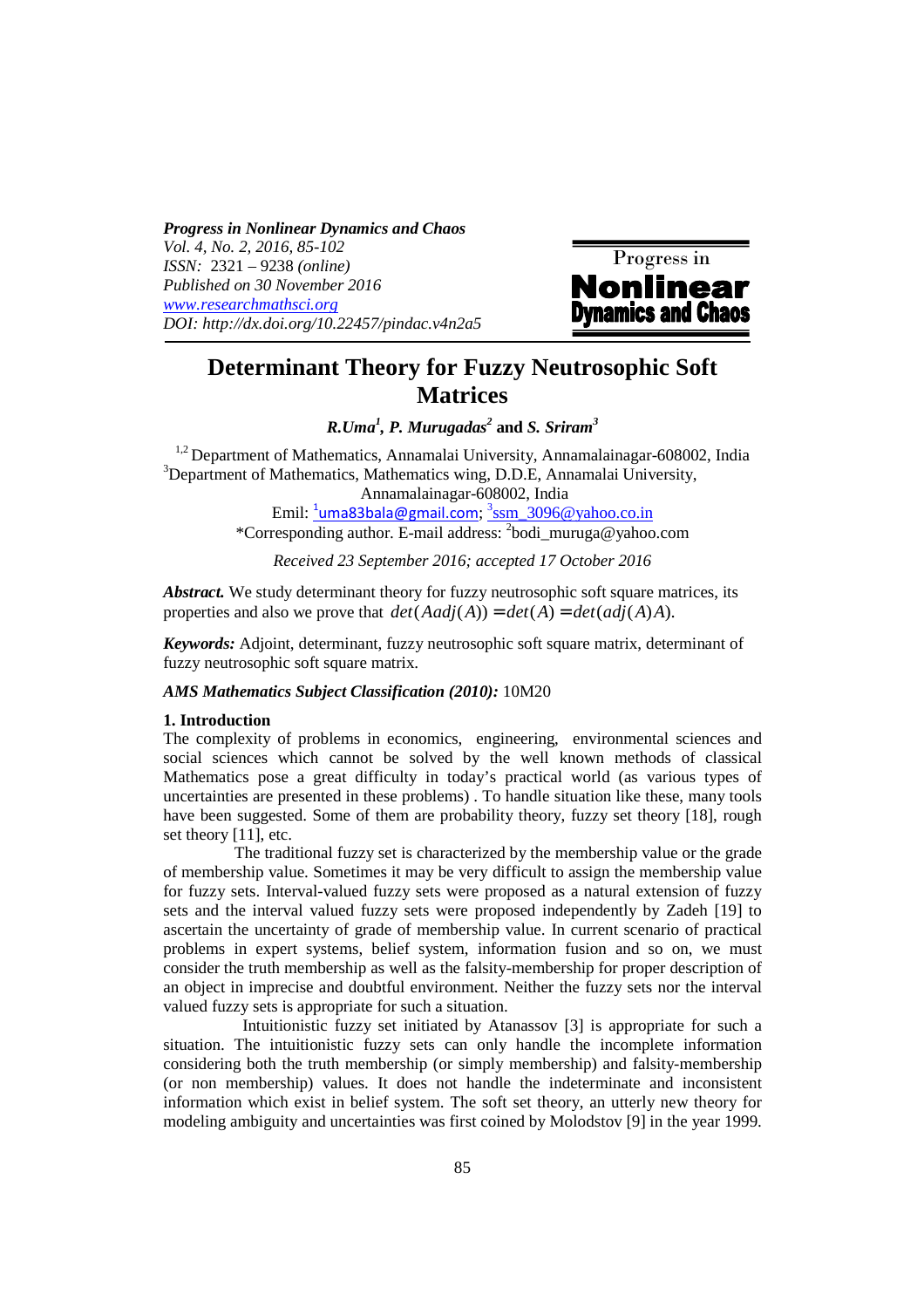*Progress in Nonlinear Dynamics and Chaos Vol. 4, No. 2, 2016, 85-102 ISSN:* 2321 – 9238 *(online) Published on 30 November 2016 www.researchmathsci.org DOI: http://dx.doi.org/10.22457/pindac.v4n2a5* 



# **Determinant Theory for Fuzzy Neutrosophic Soft Matrices**

*R.Uma<sup>1</sup> , P. Murugadas<sup>2</sup>*  **and** *S. Sriram<sup>3</sup>*

 $1,2$  Department of Mathematics, Annamalai University, Annamalainagar-608002, India <sup>3</sup>Department of Mathematics, Mathematics wing, D.D.E, Annamalai University, Annamalainagar-608002, India

Emil: <sup>1</sup>uma83bala@gmail.com; <sup>3</sup>ssm\_3096@yahoo.co.in

\*Corresponding author. E-mail address: <sup>2</sup> bodi\_muruga@yahoo.com

*Received 23 September 2016; accepted 17 October 2016* 

*Abstract.* We study determinant theory for fuzzy neutrosophic soft square matrices, its properties and also we prove that  $det(Aadj(A)) = det(A) = detadj(A)A$ .

*Keywords:* Adjoint, determinant, fuzzy neutrosophic soft square matrix, determinant of fuzzy neutrosophic soft square matrix.

### *AMS Mathematics Subject Classification (2010):* 10M20

#### **1. Introduction**

The complexity of problems in economics, engineering, environmental sciences and social sciences which cannot be solved by the well known methods of classical Mathematics pose a great difficulty in today's practical world (as various types of uncertainties are presented in these problems) . To handle situation like these, many tools have been suggested. Some of them are probability theory, fuzzy set theory [18], rough set theory [11], etc.

 The traditional fuzzy set is characterized by the membership value or the grade of membership value. Sometimes it may be very difficult to assign the membership value for fuzzy sets. Interval-valued fuzzy sets were proposed as a natural extension of fuzzy sets and the interval valued fuzzy sets were proposed independently by Zadeh [19] to ascertain the uncertainty of grade of membership value. In current scenario of practical problems in expert systems, belief system, information fusion and so on, we must consider the truth membership as well as the falsity-membership for proper description of an object in imprecise and doubtful environment. Neither the fuzzy sets nor the interval valued fuzzy sets is appropriate for such a situation.

 Intuitionistic fuzzy set initiated by Atanassov [3] is appropriate for such a situation. The intuitionistic fuzzy sets can only handle the incomplete information considering both the truth membership (or simply membership) and falsity-membership (or non membership) values. It does not handle the indeterminate and inconsistent information which exist in belief system. The soft set theory, an utterly new theory for modeling ambiguity and uncertainties was first coined by Molodstov [9] in the year 1999.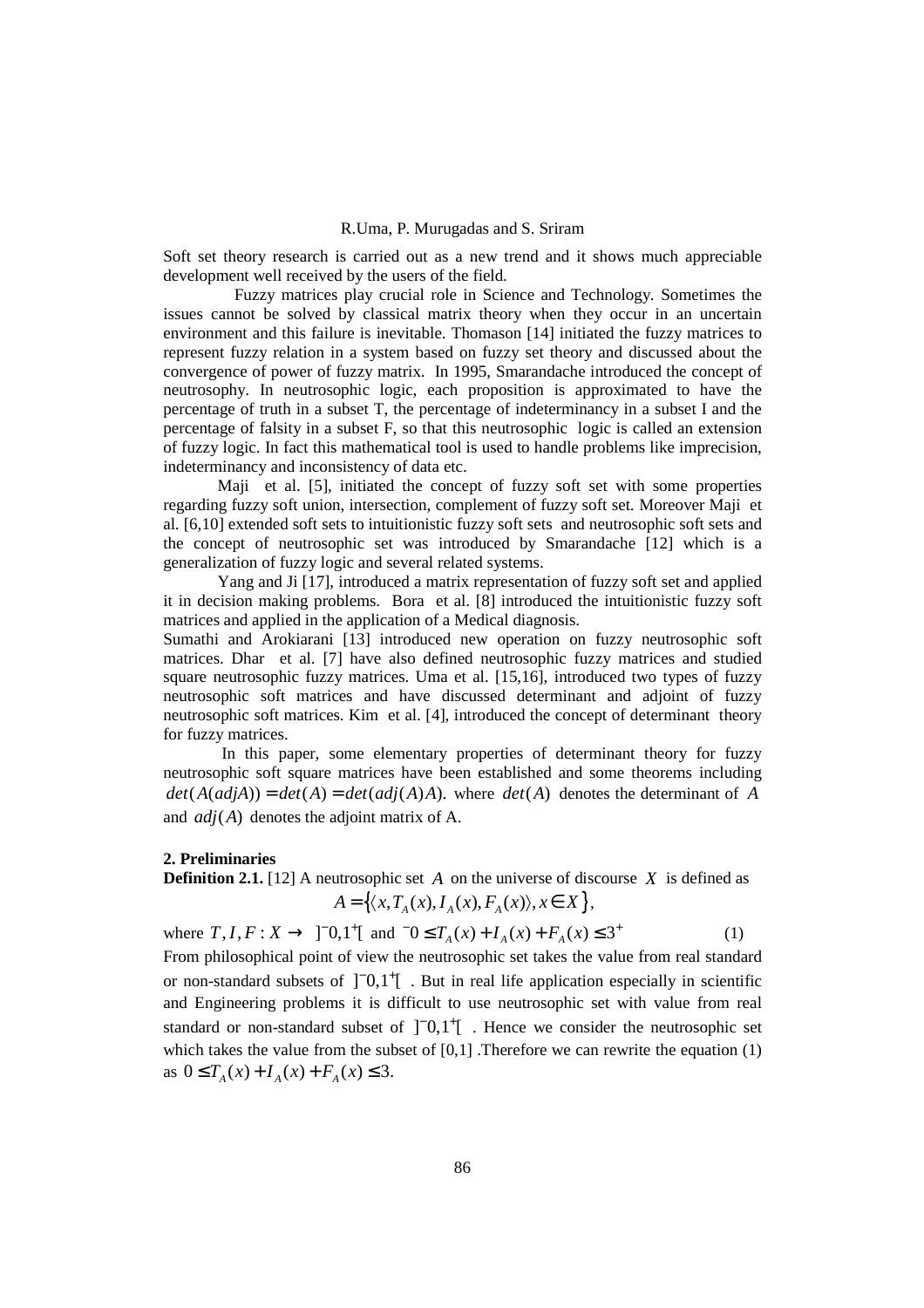Soft set theory research is carried out as a new trend and it shows much appreciable development well received by the users of the field.

 Fuzzy matrices play crucial role in Science and Technology. Sometimes the issues cannot be solved by classical matrix theory when they occur in an uncertain environment and this failure is inevitable. Thomason [14] initiated the fuzzy matrices to represent fuzzy relation in a system based on fuzzy set theory and discussed about the convergence of power of fuzzy matrix. In 1995, Smarandache introduced the concept of neutrosophy. In neutrosophic logic, each proposition is approximated to have the percentage of truth in a subset T, the percentage of indeterminancy in a subset I and the percentage of falsity in a subset F, so that this neutrosophic logic is called an extension of fuzzy logic. In fact this mathematical tool is used to handle problems like imprecision, indeterminancy and inconsistency of data etc.

Maji et al. [5], initiated the concept of fuzzy soft set with some properties regarding fuzzy soft union, intersection, complement of fuzzy soft set. Moreover Maji et al. [6,10] extended soft sets to intuitionistic fuzzy soft sets and neutrosophic soft sets and the concept of neutrosophic set was introduced by Smarandache [12] which is a generalization of fuzzy logic and several related systems.

 Yang and Ji [17], introduced a matrix representation of fuzzy soft set and applied it in decision making problems. Bora et al. [8] introduced the intuitionistic fuzzy soft matrices and applied in the application of a Medical diagnosis.

Sumathi and Arokiarani [13] introduced new operation on fuzzy neutrosophic soft matrices. Dhar et al. [7] have also defined neutrosophic fuzzy matrices and studied square neutrosophic fuzzy matrices. Uma et al. [15,16], introduced two types of fuzzy neutrosophic soft matrices and have discussed determinant and adjoint of fuzzy neutrosophic soft matrices. Kim et al. [4], introduced the concept of determinant theory for fuzzy matrices.

 In this paper, some elementary properties of determinant theory for fuzzy neutrosophic soft square matrices have been established and some theorems including  $det(A(adi A)) = det(A) = det(adi (A)A)$ , where  $det(A)$  denotes the determinant of *A* and  $adi(A)$  denotes the adjoint matrix of A.

#### **2. Preliminaries**

**Definition 2.1.** [12] A neutrosophic set A on the universe of discourse X is defined as  $A = \{ \langle x, T_A(x), I_A(x), F_A(x) \rangle, x \in X \},\$ 

where  $T, I, F: X \to \ ]^0,1^+[$  and  $^0 \leq T_A(x) + I_A(x) + F_A(x) \leq 3^+$  (1) From philosophical point of view the neutrosophic set takes the value from real standard or non-standard subsets of  $\begin{bmatrix} 0 \\ 1 \end{bmatrix}$ . But in real life application especially in scientific and Engineering problems it is difficult to use neutrosophic set with value from real standard or non-standard subset of  $\begin{bmatrix} 0 \\ 0 \\ 1 \end{bmatrix}$ . Hence we consider the neutrosophic set which takes the value from the subset of  $[0,1]$ . Therefore we can rewrite the equation  $(1)$ as  $0 \leq T_A(x) + I_A(x) + F_A(x) \leq 3$ .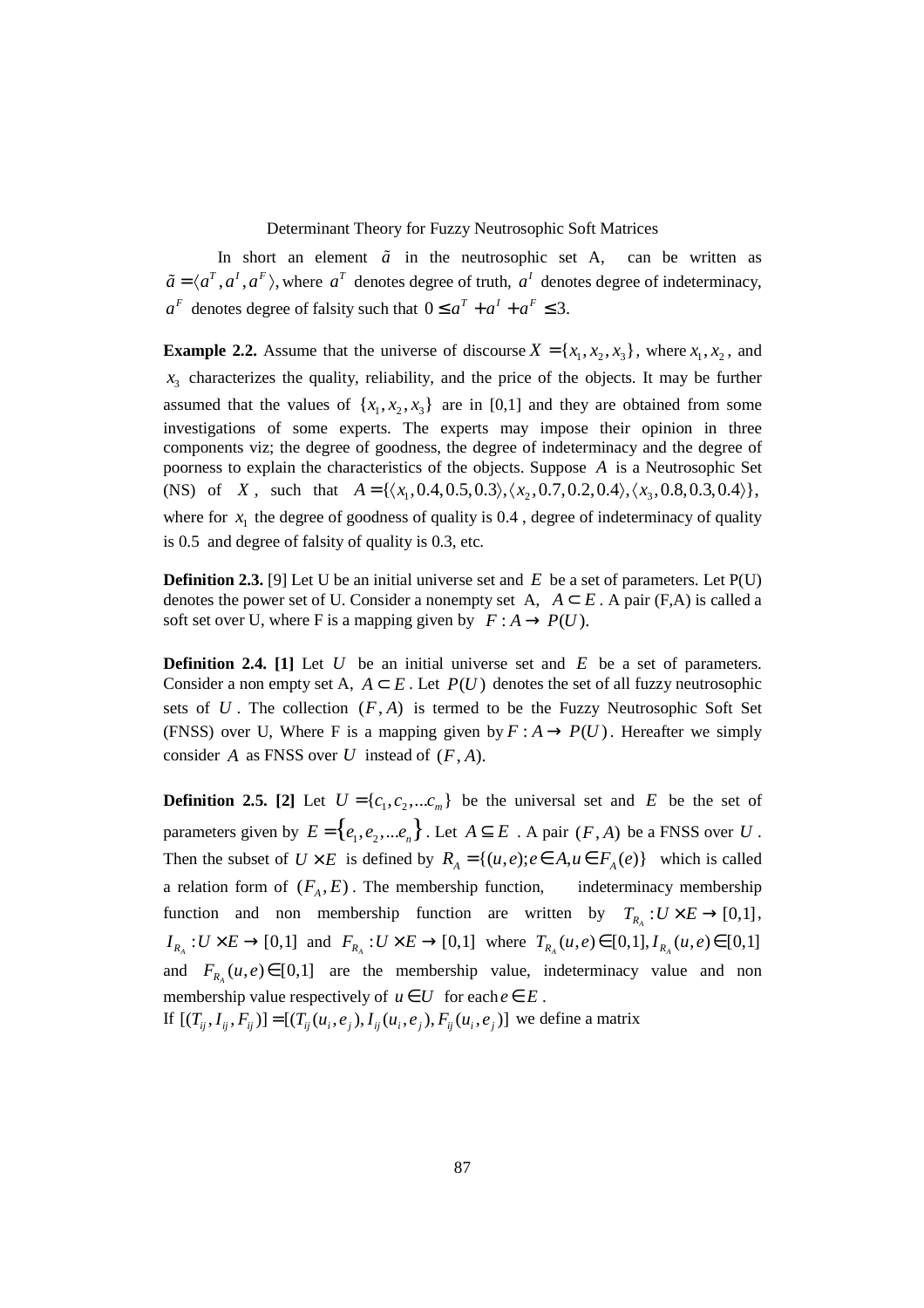In short an element  $\tilde{a}$  in the neutrosophic set A, can be written as  $\tilde{a} = \langle a^T, a^T, a^F \rangle$ , where  $a^T$  denotes degree of truth,  $a^T$  denotes degree of indeterminacy,  $a^F$  denotes degree of falsity such that  $0 \le a^T + a^T + a^F \le 3$ .

**Example 2.2.** Assume that the universe of discourse  $X = \{x_1, x_2, x_3\}$ , where  $x_1, x_2$ , and  $x_3$  characterizes the quality, reliability, and the price of the objects. It may be further assumed that the values of  $\{x_1, x_2, x_3\}$  are in [0,1] and they are obtained from some investigations of some experts. The experts may impose their opinion in three components viz; the degree of goodness, the degree of indeterminacy and the degree of poorness to explain the characteristics of the objects. Suppose *A* is a Neutrosophic Set (NS) of *X*, such that  $A = \{ \langle x_1, 0.4, 0.5, 0.3 \rangle, \langle x_2, 0.7, 0.2, 0.4 \rangle, \langle x_3, 0.8, 0.3, 0.4 \rangle \},\$ where for  $x_1$  the degree of goodness of quality is 0.4, degree of indeterminacy of quality is 0.5 and degree of falsity of quality is 0.3, etc.

**Definition 2.3.** [9] Let U be an initial universe set and E be a set of parameters. Let P(U) denotes the power set of U. Consider a nonempty set A,  $A \subset E$ . A pair (F,A) is called a soft set over U, where F is a mapping given by  $F : A \rightarrow P(U)$ .

**Definition 2.4.** [1] Let *U* be an initial universe set and *E* be a set of parameters. Consider a non empty set A,  $A \subseteq E$ . Let  $P(U)$  denotes the set of all fuzzy neutrosophic sets of  $U$ . The collection  $(F, A)$  is termed to be the Fuzzy Neutrosophic Soft Set (FNSS) over U, Where F is a mapping given by  $F: A \rightarrow P(U)$ . Hereafter we simply consider  $A$  as FNSS over  $U$  instead of  $(F, A)$ .

**Definition 2.5.** [2] Let  $U = \{c_1, c_2, \dots c_m\}$  be the universal set and *E* be the set of parameters given by  $E = \{e_1, e_2, \dots e_n\}$ . Let  $A \subseteq E$ . A pair  $(F, A)$  be a FNSS over *U*. Then the subset of  $U \times E$  is defined by  $R_A = \{(u, e) : e \in A, u \in F_A(e)\}$  which is called a relation form of  $(F_A, E)$ . The membership function, indeterminacy membership function and non membership function are written by  $T_{R_A}: U \times E \to [0,1]$ ,  $I_{R_A}: U \times E \to [0,1]$  and  $F_{R_A}: U \times E \to [0,1]$  where  $T_{R_A}(u,e) \in [0,1], I_{R_A}(u,e) \in [0,1]$ and  $F_{R_A}(u, e) \in [0,1]$  are the membership value, indeterminacy value and non membership value respectively of  $u \in U$  for each  $e \in E$ .

If  $[(T_{ii}, I_{ii}, F_{ii})] = [(T_{ii}(u_i, e_i), I_{ii}(u_i, e_i), F_{ii}(u_i, e_i)]$  we define a matrix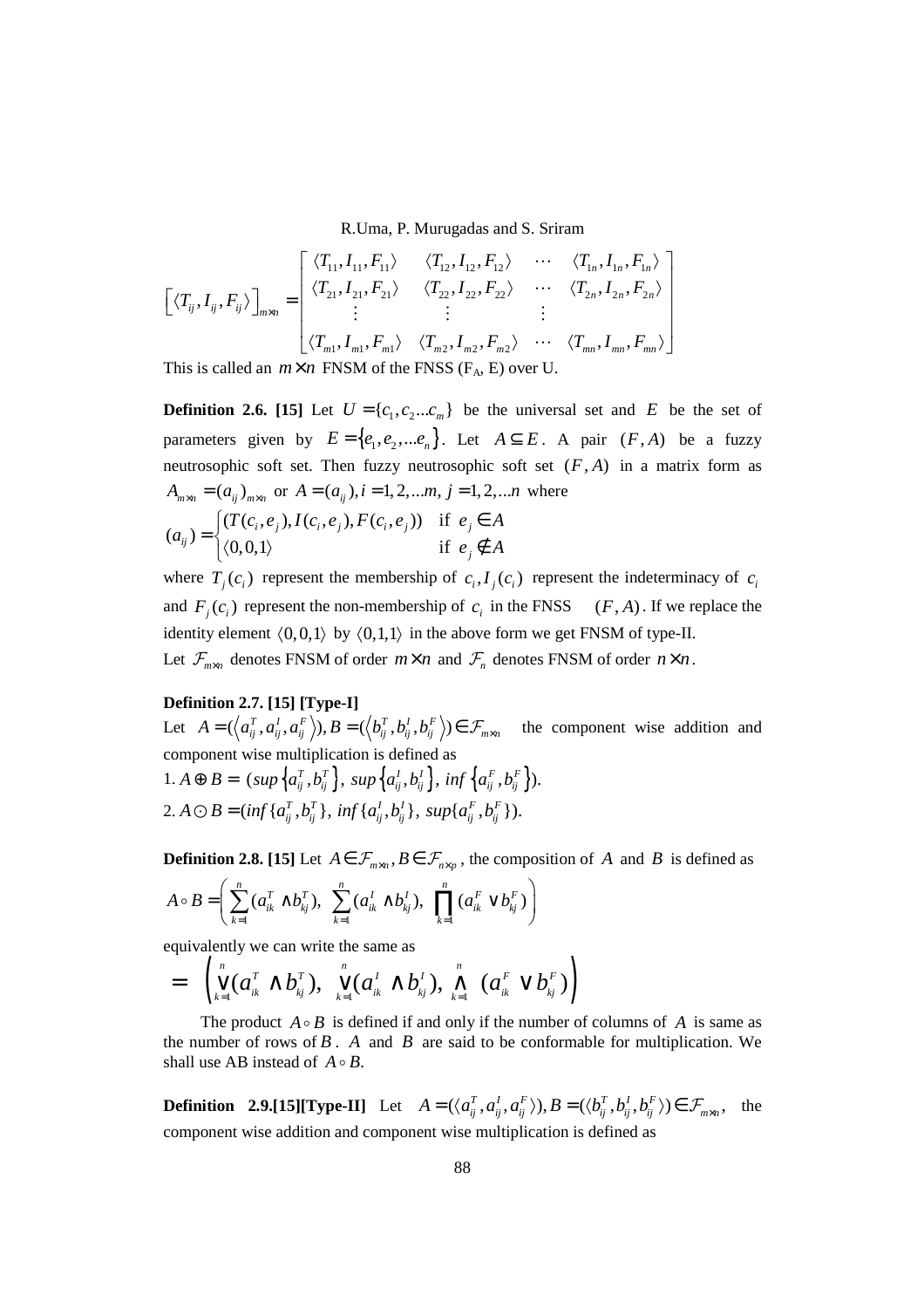$$
\begin{bmatrix}\n\langle T_{ij}, I_{ij}, F_{ij} \rangle\n\end{bmatrix}_{m \times n} = \begin{bmatrix}\n\langle T_{11}, I_{11}, F_{11} \rangle & \langle T_{12}, I_{12}, F_{12} \rangle & \cdots & \langle T_{1n}, I_{1n}, F_{1n} \rangle \\
\langle T_{21}, I_{21}, F_{21} \rangle & \langle T_{22}, I_{22}, F_{22} \rangle & \cdots & \langle T_{2n}, I_{2n}, F_{2n} \rangle \\
\vdots & \vdots & \vdots \\
\langle T_{m1}, I_{m1}, F_{m1} \rangle & \langle T_{m2}, I_{m2}, F_{m2} \rangle & \cdots & \langle T_{mn}, I_{mn}, F_{mn} \rangle\n\end{bmatrix}
$$
\nThis is called an  $m \times n$  FNSM of the FNSS (F<sub>A</sub>, E) over U.

**Definition 2.6. [15]** Let  $U = \{c_1, c_2...c_m\}$  be the universal set and *E* be the set of parameters given by  $E = \{e_1, e_2, \dots e_n\}$ . Let  $A \subseteq E$ . A pair  $(F, A)$  be a fuzzy neutrosophic soft set. Then fuzzy neutrosophic soft set  $(F, A)$  in a matrix form as  $A_{m \times n} = (a_{ij})_{m \times n}$  or  $A = (a_{ij})$ ,  $i = 1, 2, \dots m$ ,  $j = 1, 2, \dots n$  where  $(T(c_i, e_i), I(c_i, e_i), F(c_i, e_i))$  if  $(a_{ii})$  $\mathfrak{c}_i, \mathfrak{e}_j, \mathfrak{c}_i, \mathfrak{e}_i, \mathfrak{e}_j, \mathfrak{c}_i, \mathfrak{c}_i, \mathfrak{e}_j, \mathfrak{c}_j$ *ij*  $T(c_i, e_i), I(c_i, e_i), F(c_i, e_i)$  if  $e_i \in A$ *a*  $[(T(c_i, e_i), I(c_i, e_i), F(c_i, e_i))$  if  $e_i \in$  $=\begin{cases} (0,0,1) & \text{if } e_j \notin \end{cases}$ 

where  $T_j(c_i)$  represent the membership of  $c_i, I_j(c_i)$  represent the indeterminacy of  $c_i$ and  $F_j(c_i)$  represent the non-membership of  $c_i$  in the FNSS  $(F, A)$ . If we replace the identity element  $(0,0,1)$  by  $(0,1,1)$  in the above form we get FNSM of type-II. Let  $\mathcal{F}_{m \times n}$  denotes FNSM of order  $m \times n$  and  $\mathcal{F}_{n}$  denotes FNSM of order  $n \times n$ .

*j*

 $e_i \notin A$ 

# **Definition 2.7. [15] [Type-I]**

Let  $A = (\langle a_{ij}^T, a_{ij}^I, a_{ij}^F \rangle), B = (\langle b_{ij}^T, b_{ij}^I, b_{ij}^F \rangle) \in \mathcal{F}_{m \times n}$  the component wise addition and component wise multiplication is defined as

 $1. A \oplus B = \left( \sup \left\{ a_{ij}^{T}, b_{ij}^{T} \right\}, \sup \left\{ a_{ij}^{I}, b_{ij}^{I} \right\}, \inf \left\{ a_{ij}^{F}, b_{ij}^{F} \right\} \right).$ 2.  $A \odot B = (inf \{a_{ii}^T, b_{ii}^T\}, inf \{a_{ii}^I, b_{ii}^I\}, supp \{a_{ii}^F, b_{ii}^F\}).$ 

 $|0,0,1\rangle$  if

**Definition 2.8. [15]** Let  $A \in \mathcal{F}_{m \times n}$ ,  $B \in \mathcal{F}_{n \times n}$ , the composition of *A* and *B* is defined as

$$
A \circ B = \left( \sum_{k=1}^{n} (a_{ik}^{T} \wedge b_{kj}^{T}), \sum_{k=1}^{n} (a_{ik}^{I} \wedge b_{kj}^{I}), \prod_{k=1}^{n} (a_{ik}^{F} \vee b_{kj}^{F}) \right)
$$

equivalently we can write the same as

$$
= \left(\bigvee_{k=1}^{n} (a_{ik}^{T} \wedge b_{kj}^{T}), \bigvee_{k=1}^{n} (a_{ik}^{T} \wedge b_{kj}^{T}), \bigwedge_{k=1}^{n} (a_{ik}^{F} \vee b_{kj}^{F})\right)
$$

The product  $A \circ B$  is defined if and only if the number of columns of A is same as the number of rows of  $B$ .  $A$  and  $B$  are said to be conformable for multiplication. We shall use AB instead of  $A \circ B$ .

**Definition** 2.9.[15][Type-II] Let  $A = (\langle a_{ij}^T, a_{ij}^l, a_{ij}^F \rangle), B = (\langle b_{ij}^T, b_{ij}^l, b_{ij}^F \rangle) \in \mathcal{F}_{m \times n}$ , the component wise addition and component wise multiplication is defined as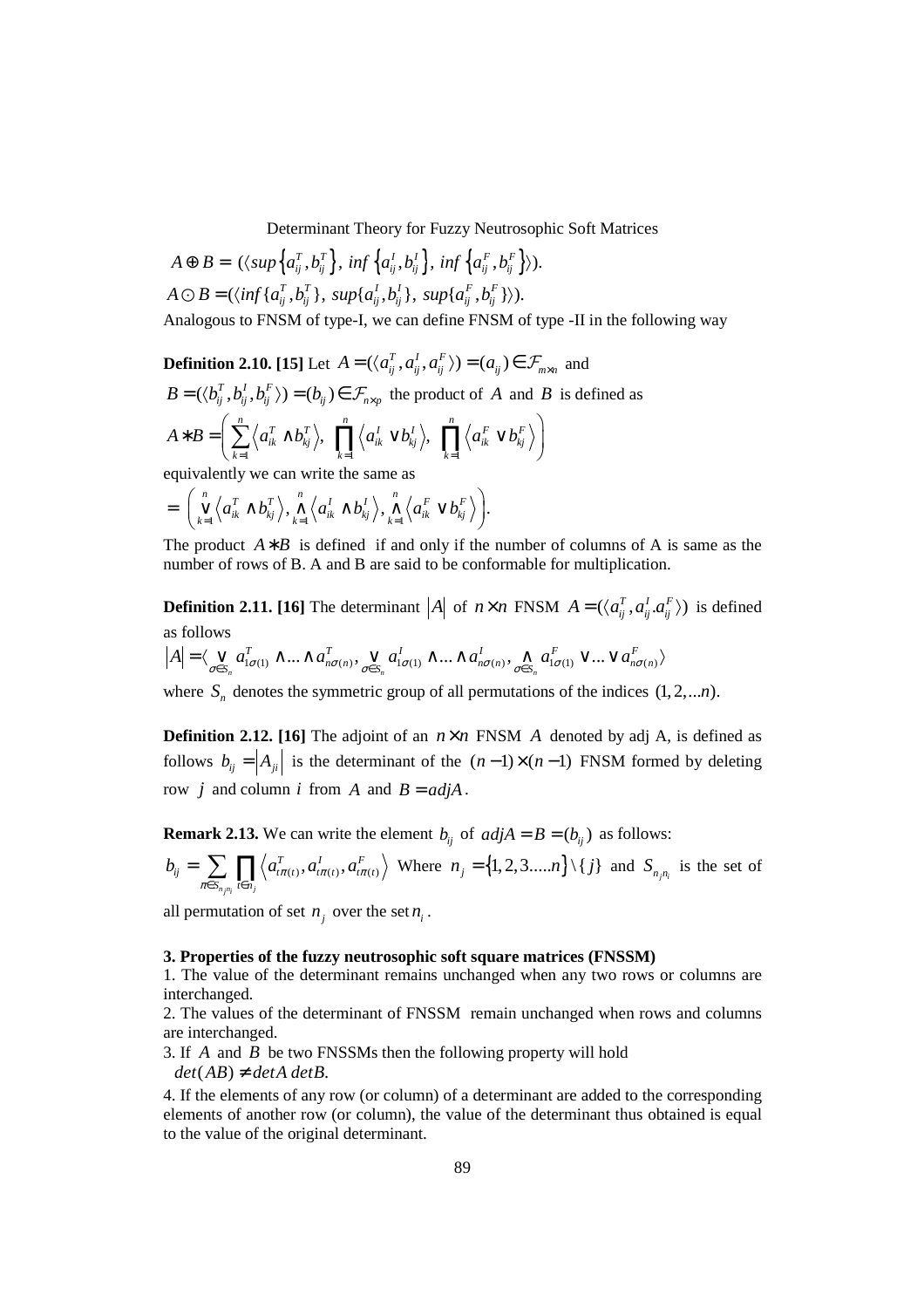$$
A \oplus B = (\langle \text{sup} \{a_{ij}^T, b_{ij}^T\}, \text{ inf} \{a_{ij}^I, b_{ij}^I\}, \text{ inf} \{a_{ij}^F, b_{ij}^F\} \rangle).
$$
  

$$
A \ominus B = (\langle \text{inf} \{a_{ij}^T, b_{ij}^T\}, \text{sup} \{a_{ij}^I, b_{ij}^I\}, \text{sup} \{a_{ij}^F, b_{ij}^F\} \rangle).
$$

Analogous to FNSM of type-I, we can define FNSM of type -II in the following way

**Definition 2.10. [15]** Let  $A = (\langle a_{ij}^T, a_{ij}^I, a_{ij}^F \rangle) = (a_{ij}) \in \mathcal{F}_{m \times n}$  and

$$
B = (\langle b_{ij}^T, b_{ij}^I, b_{ij}^F \rangle) = (b_{ij}) \in \mathcal{F}_{n \times p}
$$
 the product of A and B is defined as

$$
A * B = \left(\sum_{k=1}^{n} \left\langle a_{ik}^{T} \wedge b_{kj}^{T}\right\rangle, \prod_{k=1}^{n} \left\langle a_{ik}^{T} \vee b_{kj}^{T}\right\rangle, \prod_{k=1}^{n} \left\langle a_{ik}^{F} \vee b_{kj}^{F}\right\rangle\right)
$$

equivalently we can write the same as

$$
= \bigg(\bigvee_{k=1}^n \left\langle a_{ik}^T \wedge b_{kj}^T \right\rangle, \bigwedge_{k=1}^n \left\langle a_{ik}^I \wedge b_{kj}^I \right\rangle, \bigwedge_{k=1}^n \left\langle a_{ik}^F \vee b_{kj}^F \right\rangle \bigg).
$$

The product  $A * B$  is defined if and only if the number of columns of A is same as the number of rows of B. A and B are said to be conformable for multiplication.

**Definition 2.11. [16]** The determinant  $|A|$  of  $n \times n$  FNSM  $A = (\langle a_{ii}^T, a_{ii}^T, a_{ii}^T \rangle)$  is defined as follows

$$
|A| = \langle \bigvee_{\sigma \in S_n} a^T_{1\sigma(1)} \wedge ... \wedge a^T_{n\sigma(n)}, \bigvee_{\sigma \in S_n} a^I_{1\sigma(1)} \wedge ... \wedge a^I_{n\sigma(n)}, \bigwedge_{\sigma \in S_n} a^F_{1\sigma(1)} \vee ... \vee a^F_{n\sigma(n)} \rangle
$$

where  $S_n$  denotes the symmetric group of all permutations of the indices  $(1, 2, \ldots n)$ .

**Definition 2.12. [16] The adjoint of an**  $n \times n$  **FNSM** *A* **denoted by adj** *A***, is defined as** follows  $b_{ij} = |A_{ji}|$  is the determinant of the  $(n-1)\times(n-1)$  FNSM formed by deleting row *j* and column *i* from *A* and  $B = adjA$ .

**Remark 2.13.** We can write the element  $b_{ij}$  of  $adjA = B = (b_{ij})$  as follows:

$$
b_{ij} = \sum_{\pi \in S_{n,n_i}} \prod_{t \in n_j} \left\langle a_{t\pi(t)}^T, a_{t\pi(t)}^T, a_{t\pi(t)}^F \right\rangle \text{ Where } n_j = \{1, 2, 3, \dots, n\} \setminus \{j\} \text{ and } S_{n_j n_i} \text{ is the set of}
$$

all permutation of set  $n_j$  over the set  $n_i$ .

### **3. Properties of the fuzzy neutrosophic soft square matrices (FNSSM)**

1. The value of the determinant remains unchanged when any two rows or columns are interchanged.

2. The values of the determinant of FNSSM remain unchanged when rows and columns are interchanged.

3. If *A* and *B* be two FNSSMs then the following property will hold  $det(AB) \neq detA$   $detB$ .

4. If the elements of any row (or column) of a determinant are added to the corresponding elements of another row (or column), the value of the determinant thus obtained is equal to the value of the original determinant.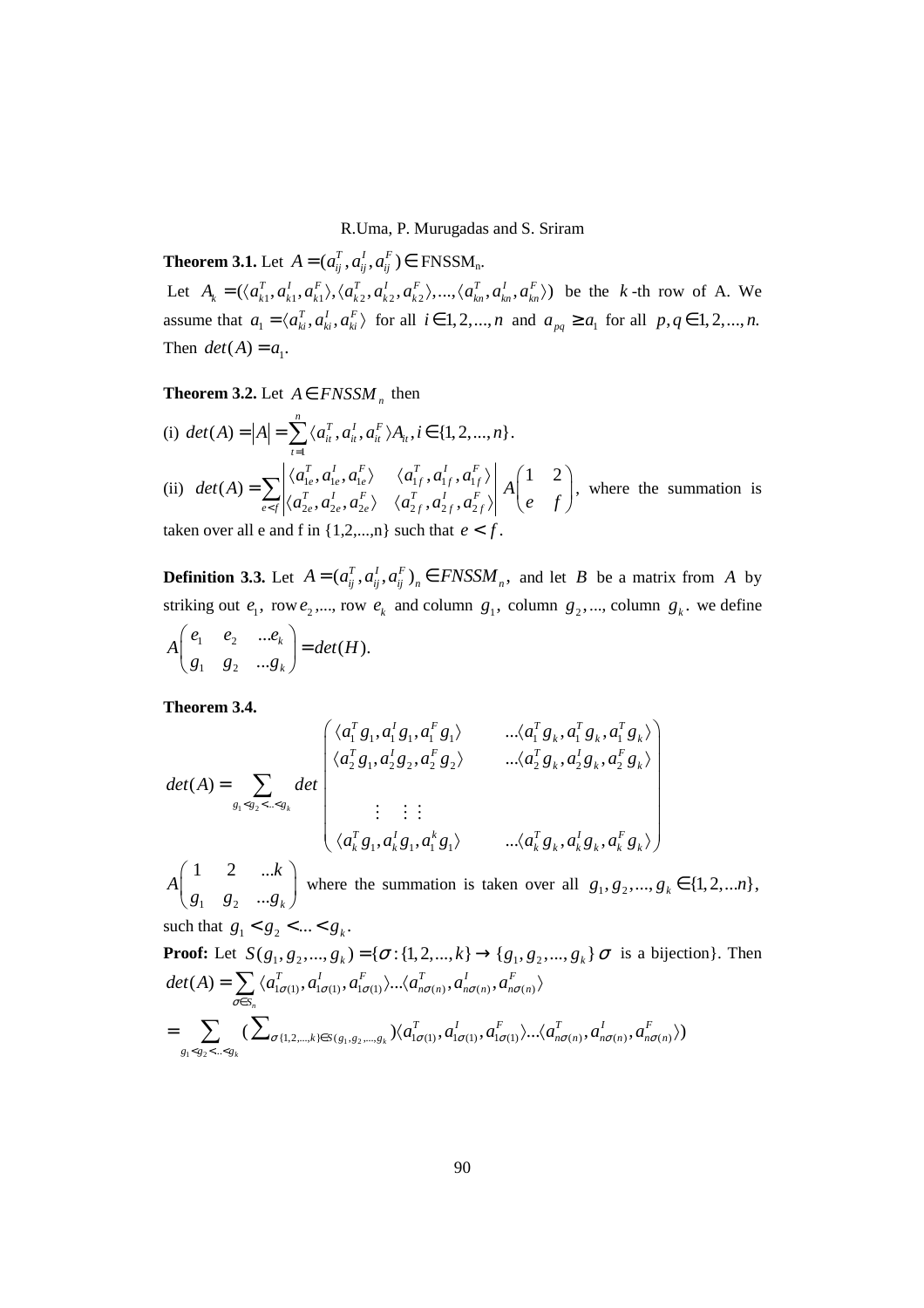**Theorem 3.1.** Let  $A = (a_{ii}^T, a_{ii}^T, a_{ii}^F) \in \text{FNSSM}_{n}$ .

Let  $A_k = (\langle a_{k1}^T, a_{k1}^T, a_{k2}^T, a_{k2}^T, a_{k2}^T, a_{k2}^T, a_{k3}^T, a_{k n}^T, a_{k n}^T, a_{k n}^T \rangle)$  be the *k*-th row of A. We assume that  $a_1 = \langle a_{ki}^T, a_{ki}^T, a_{ki}^T \rangle$  for all  $i \in 1, 2, ..., n$  and  $a_{pq} \ge a_1$  for all  $p, q \in 1, 2, ..., n$ . Then  $det(A) = a_1$ .

# **Theorem 3.2.** Let  $A \in FNSSM_n$  then

(i) 
$$
det(A) = |A| = \sum_{t=1}^{n} \langle a_{it}^{T}, a_{it}^{I}, a_{it}^{F} \rangle A_{it}, i \in \{1, 2, ..., n\}.
$$
  
\n(ii)  $det(A) = \sum_{e \le f} \left| \langle a_{1e}^{T}, a_{1e}^{I}, a_{1e}^{F} \rangle \right| \langle a_{1f}^{T}, a_{1f}^{I}, a_{1f}^{F} \rangle \left| A \begin{pmatrix} 1 & 2 \\ e & f \end{pmatrix} \right|$ , where the summation is

taken over all e and f in  $\{1,2,...,n\}$  such that  $e < f$ .

**Definition 3.3.** Let  $A = (a_{ij}^T, a_{ij}^T, a_{ij}^F)_n \in FNSSM_n$ , and let *B* be a matrix from *A* by striking out  $e_1$ , row  $e_2$ ,..., row  $e_k$  and column  $g_1$ , column  $g_2$ ,..., column  $g_k$ . we define

$$
A\begin{pmatrix} e_1 & e_2 & \dots e_k \\ g_1 & g_2 & \dots g_k \end{pmatrix} = det(H).
$$

**Theorem 3.4.** 

$$
det(A) = \sum_{g_1 < g_2 < \dots < g_k} det\begin{pmatrix} \langle a_1^T g_1, a_1^T g_1, a_1^F g_1 \rangle & \dots & \langle a_1^T g_k, a_1^T g_k, a_1^T g_k \rangle \\ \langle a_2^T g_1, a_2^T g_2, a_2^F g_2 \rangle & \dots & \langle a_2^T g_k, a_2^T g_k, a_2^F g_k \rangle \\ \vdots & \vdots & \vdots \\ \langle a_k^T g_1, a_k^T g_1, a_1^k g_1 \rangle & \dots & \langle a_k^T g_k, a_k^T g_k, a_k^F g_k \rangle \end{pmatrix}
$$

 $1 \quad 62$ 1 2 ...  $...$  $g_k$ *k A*  $\begin{pmatrix} 1 & 2 & ...k \ g_1 & g_2 & ...g_k \end{pmatrix}$ where the summation is taken over all  $g_1, g_2, ..., g_k \in \{1, 2, ... n\},$ 

such that  $g_1 < g_2 < ... < g_k$ .

Proof: Let 
$$
S(g_1, g_2, ..., g_k) = {\sigma : \{1, 2, ..., k\} \rightarrow \{g_1, g_2, ..., g_k\} \sigma \text{ is a bijection}}.
$$
 Then  
\n
$$
det(A) = \sum_{\sigma \in S_n} \langle a_{i\sigma(1)}^T, a_{i\sigma(1)}^I, a_{i\sigma(1)}^F \rangle ... \langle a_{n\sigma(n)}^T, a_{n\sigma(n)}^I, a_{n\sigma(n)}^F \rangle
$$
\n
$$
= \sum_{g_1 < g_2 < ... < g_k} (\sum_{\sigma \{1, 2, ..., k\} \in S(g_1, g_2, ..., g_k)} \langle a_{i\sigma(1)}^T, a_{i\sigma(1)}^I, a_{i\sigma(1)}^F \rangle ... \langle a_{n\sigma(n)}^T, a_{n\sigma(n)}^I, a_{n\sigma(n)}^F \rangle)
$$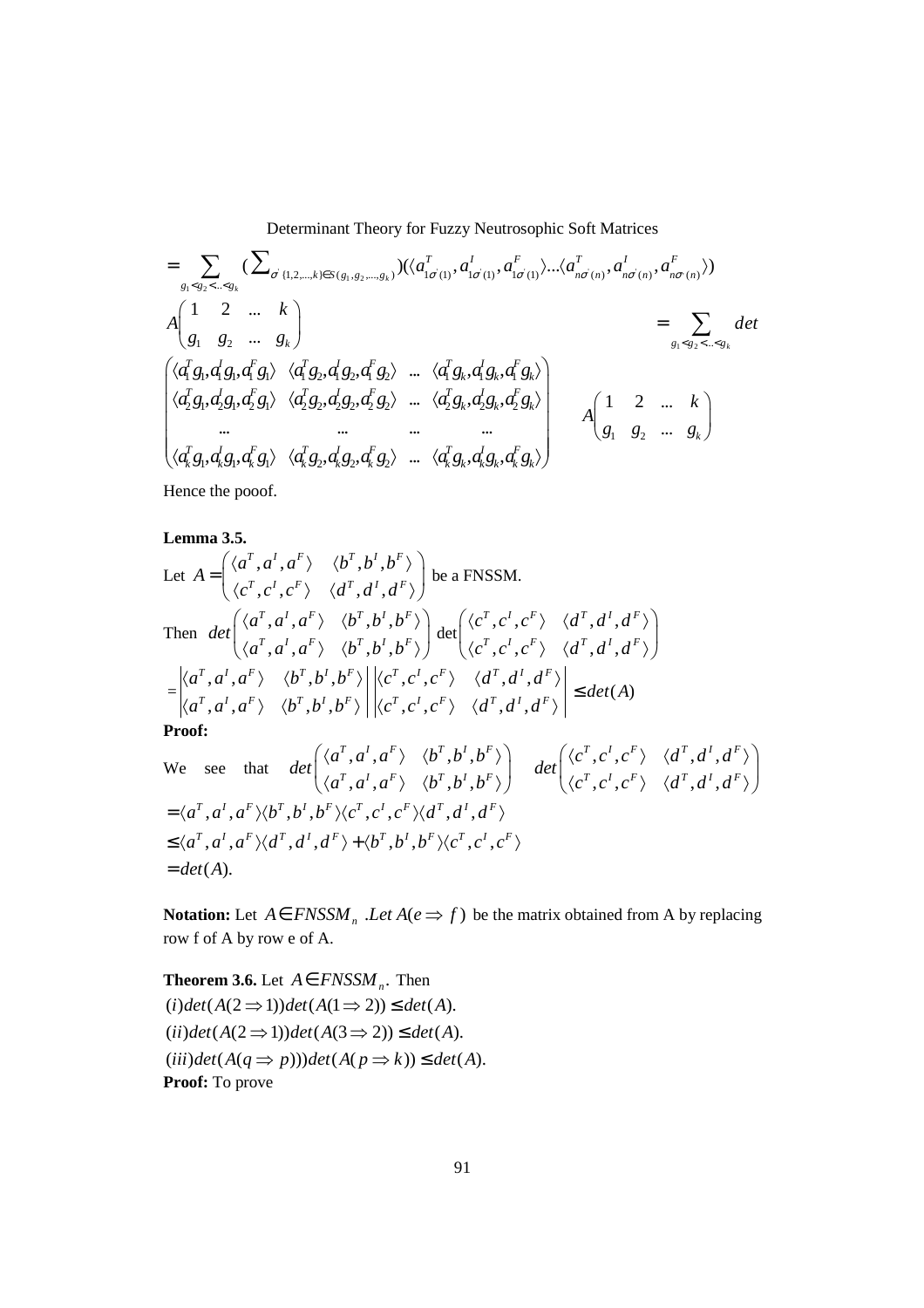$$
= \sum_{g_1 < g_2 < \ldots < g_k} (\sum_{\sigma' \{1, 2, \ldots, k\} \in S(g_1, g_2, \ldots, g_k)}) (\langle a_{1\sigma(1)}^T, a_{1\sigma(1)}^T, a_{1\sigma(1)}^T \rangle \ldots \langle a_{n\sigma(n)}^T, a_{n\sigma(n)}^T, a_{n\sigma(n)}^F \rangle)
$$
\n
$$
A \begin{pmatrix} 1 & 2 & \ldots & k \\ g_1 & g_2 & \ldots & g_k \end{pmatrix} = \sum_{g_1 < g_2 < \ldots < g_k} \det
$$
\n
$$
\begin{pmatrix} \langle d_1^T g_1, d_1^T g_1, d_1^T g_1 \rangle & \langle d_1^T g_2, d_1^T g_2, d_1^T g_2 \rangle & \ldots & \langle d_1^T g_k, d_1^T g_k, d_1^T g_k \rangle \\ \langle d_2^T g_1, d_2^T g_1, d_2^T g_1 \rangle & \langle d_2^T g_2, d_2^T g_2, d_2^T g_2 \rangle & \ldots & \langle d_2^T g_k, d_2^T g_k, d_2^T g_k \rangle \\ \ldots & \ldots & \ldots & \ldots & \ldots \\ \langle d_k^T g_1, d_k^T g_1, d_k^T g_1 \rangle & \langle d_k^T g_2, d_k^T g_2, d_k^T g_2 \rangle & \ldots & \langle d_k^T g_k, d_k^T g_k, d_k^T g_k \rangle \end{pmatrix} \qquad A \begin{pmatrix} 1 & 2 & \ldots & k \\ 1 & 2 & \ldots & k \\ g_1 & g_2 & \ldots & g_k \end{pmatrix}
$$

Hence the pooof.

## **Lemma 3.5.**

Let 
$$
A = \begin{pmatrix} \langle a^T, a^I, a^F \rangle & \langle b^T, b^I, b^F \rangle \\ \langle c^T, c^I, c^F \rangle & \langle d^T, d^I, d^F \rangle \end{pmatrix}
$$
 be a FNSSM.  
\nThen  $det \begin{pmatrix} \langle a^T, a^I, a^F \rangle & \langle b^T, b^I, b^F \rangle \\ \langle a^T, a^I, a^F \rangle & \langle b^T, b^I, b^F \rangle \end{pmatrix} det \begin{pmatrix} \langle c^T, c^I, c^F \rangle & \langle d^T, d^I, d^F \rangle \\ \langle c^T, c^I, c^F \rangle & \langle d^T, d^I, d^F \rangle \end{pmatrix}$   
\n $= \begin{vmatrix} \langle a^T, a^I, a^F \rangle & \langle b^T, b^I, b^F \rangle \\ \langle a^T, a^I, a^F \rangle & \langle b^T, b^I, b^F \rangle \end{vmatrix} \begin{vmatrix} \langle c^T, c^I, c^F \rangle & \langle d^T, d^I, d^F \rangle \\ \langle c^T, c^I, c^F \rangle & \langle d^T, d^I, d^F \rangle \end{vmatrix} \le det(A)$   
\n**Proof:**  
\nWe see that  $det \begin{pmatrix} \langle a^T, a^I, a^F \rangle & \langle b^T, b^I, b^F \rangle \\ \langle a^T, a^I, a^F \rangle & \langle b^T, b^I, b^F \rangle \end{pmatrix} det \begin{pmatrix} \langle c^T, c^I, c^F \rangle & \langle d^T, d^I, d^F \rangle \\ \langle c^T, c^I, c^F \rangle & \langle d^T, d^I, d^F \rangle \end{pmatrix}$   
\n $= \langle a^T, a^I, a^F \rangle \langle b^T, b^I, b^F \rangle \langle c^T, c^I, c^F \rangle \langle d^T, d^I, d^F \rangle$   
\n $\leq \langle a^T, a^I, a^F \rangle \langle b^T, b^I, b^F \rangle \langle c^T, c^I, c^F \rangle$   
\n $= det(A)$ .

**Notation:** Let  $A \in FNSSM$ <sub>n</sub>  $Let A(e \implies f)$  be the matrix obtained from A by replacing row f of A by row e of A.

**Theorem 3.6.** Let  $A \in FNSSM_n$ . Then  $(i) det(A(2 \implies 1)) det(A(1 \implies 2)) \le det(A).$  $(ii) det(A(2 \implies 1)) det(A(3 \implies 2)) \le det(A).$  $(iii) det(A(q \Rightarrow p))) det(A(p \Rightarrow k)) \le det(A).$ **Proof:** To prove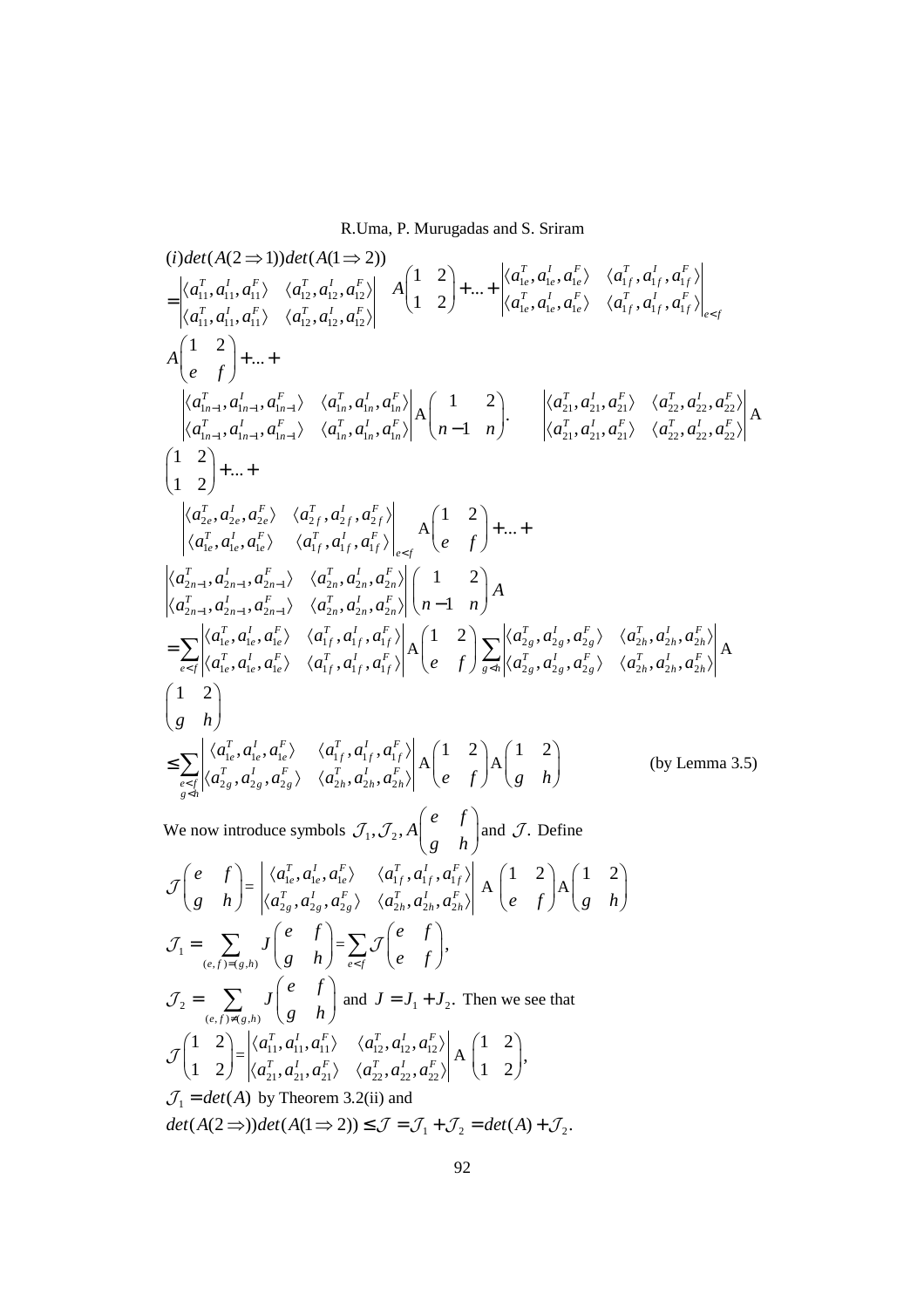$$
(i) det(A(2 \Rightarrow 1)) det(A(1 \Rightarrow 2))
$$
\n
$$
= \begin{vmatrix} \langle a_{11}^T, a_{11}^T, a_{11}^T, \langle a_{12}^T, a_{12}^T, a_{12}^T, a_{12}^T \rangle \\ \langle a_{11}^T, a_{11}^T, a_{11}^T \rangle \langle a_{12}^T, a_{12}^T, a_{12}^T \rangle \end{vmatrix} A \begin{pmatrix} 1 & 2 \\ 1 & 2 \end{pmatrix} + ... + \begin{vmatrix} \langle a_{1e}^T, a_{1e}^T, a_{1e}^T, a_{1f}^T, a_{1f}^T, a_{1f}^T \rangle \\ \langle a_{1e}^T, a_{1e}^T, a_{1e}^T \rangle \langle a_{1f}^T, a_{1f}^T, a_{1f}^T \rangle \end{vmatrix} A \begin{pmatrix} 1 & 2 \\ 1 & 2 \end{pmatrix} + ... +
$$
\n
$$
\begin{vmatrix} \langle a_{1n-1}^T, a_{1n-1}^T, a_{1n-1}^T \rangle & \langle a_{1n}^T, a_{1n}^T, a_{1n}^T, a_{1n}^T \rangle \\ \langle a_{1n-1}^T, a_{1n-1}^T, a_{1n-1}^T \rangle \langle a_{1n}^T, a_{1n}^T, a_{1n}^T \rangle \end{vmatrix} A \begin{pmatrix} 1 & 2 \\ n-1 & n \end{pmatrix} \cdot \begin{vmatrix} \langle a_{21}^T, a_{21}^T, a_{21}^T, a_{22}^T, a_{22}^T, a_{22}^T \rangle \\ \langle a_{22}^T, a_{22}^T, a_{22}^T, a_{22}^T \rangle \\ \langle a_{12}^T, a_{1e}^T, a_{1e}^T \rangle \langle a_{1f}^T, a_{1f}^T, a_{1f}^T \rangle \end{vmatrix} = A \begin{pmatrix} 1 & 2 \\ 1 & 2 \end{pmatrix} + ... +
$$
\n
$$
\begin{vmatrix} \langle a_{2n}^T, a_{2n}^T, a_{2n}^T, \langle a_{2n}^T, a_{2n}^T, a_{2n}^T \rangle \\
$$

$$
\mathcal{J}\begin{pmatrix} e & f \ g & h \end{pmatrix} = \begin{vmatrix} \langle a_{1e}^T, a_{1e}^I, a_{1e}^F \rangle & \langle a_{1f}^T, a_{1f}^I, a_{1f}^F \rangle \\ \langle a_{2g}^T, a_{2g}^I, a_{2g}^F \rangle & \langle a_{2h}^T, a_{2h}^I, a_{2h}^F \rangle \\ \langle a_{2h}^T, a_{2h}^I, a_{2h}^I \rangle & \langle a_{2h}^F, a_{2h}^I \rangle \end{vmatrix} A \begin{pmatrix} 1 & 2 \\ e & f \end{pmatrix} A \begin{pmatrix} 1 & 2 \\ g & h \end{pmatrix}
$$
  
\n
$$
\mathcal{J}_1 = \sum_{(e,f) \neq (g,h)} J \begin{pmatrix} e & f \\ g & h \end{pmatrix} = \sum_{e \in f} \mathcal{J} \begin{pmatrix} e & f \\ e & f \end{pmatrix},
$$
  
\n
$$
\mathcal{J}_2 = \sum_{(e,f) \neq (g,h)} J \begin{pmatrix} e & f \\ g & h \end{pmatrix} \text{ and } J = J_1 + J_2. \text{ Then we see that}
$$
  
\n
$$
\mathcal{J} \begin{pmatrix} 1 & 2 \\ 1 & 2 \end{pmatrix} = \begin{vmatrix} \langle a_{11}^T, a_{11}^I, a_{11}^F \rangle & \langle a_{12}^T, a_{12}^I, a_{12}^F \rangle \\ \langle a_{21}^T, a_{21}^I, a_{21}^F \rangle & \langle a_{22}^T, a_{22}^I, a_{22}^F \rangle \end{pmatrix} A \begin{pmatrix} 1 & 2 \\ 1 & 2 \end{pmatrix},
$$
  
\n
$$
\mathcal{J}_1 = det(A) \text{ by Theorem 3.2(ii) and}
$$
  
\n
$$
det(A(2 \Rightarrow)) det(A(1 \Rightarrow 2)) \leq \mathcal{J} = \mathcal{J}_1 + \mathcal{J}_2 = det(A) + \mathcal{J}_2.
$$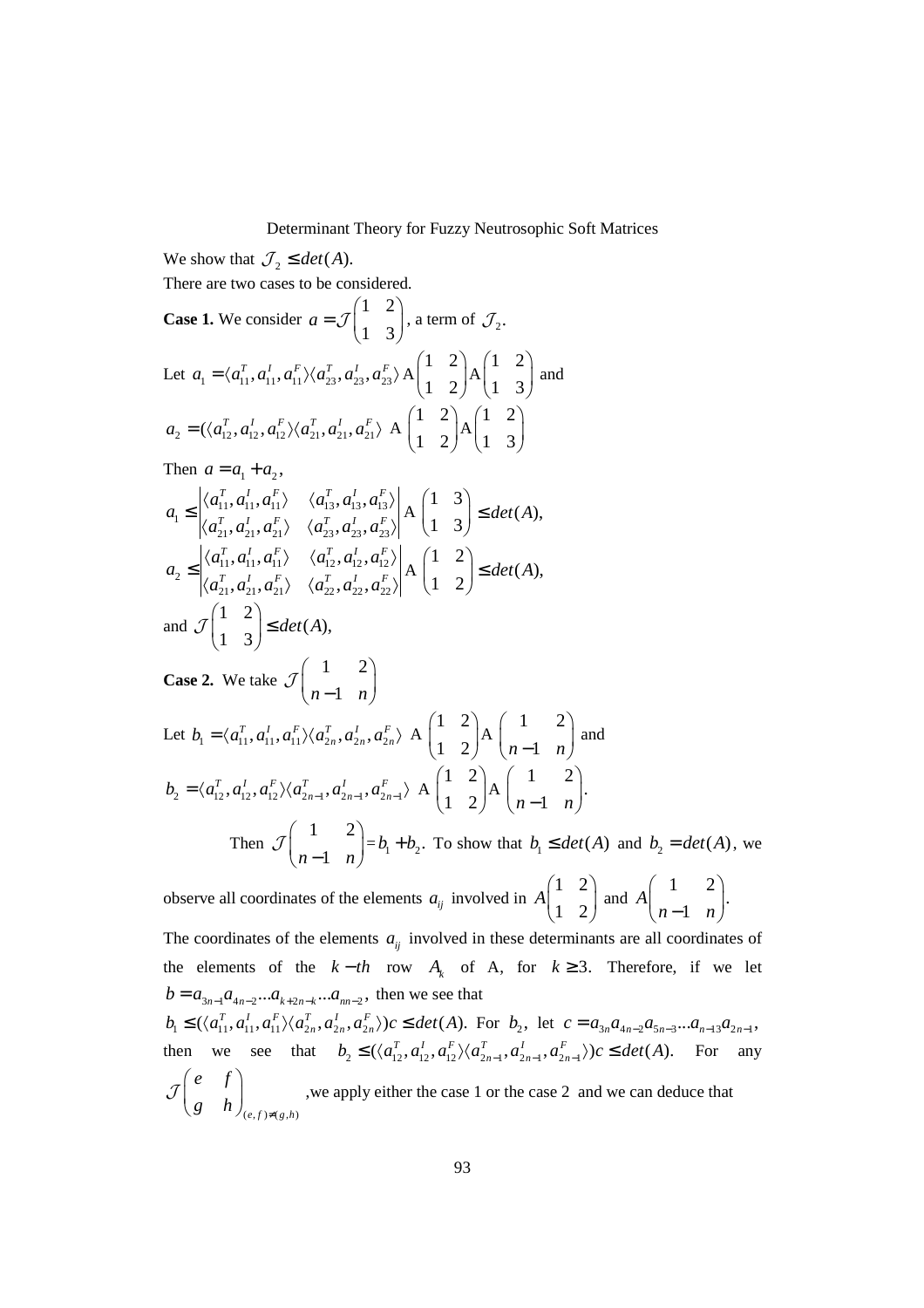We show that  $\mathcal{J}_2 \leq det(A)$ . There are two cases to be considered. **Case 1.** We consider 1 2 1 3 *a*  $(1 \ 2)$  $=\mathcal{J}\begin{pmatrix} 1 & 2 \\ 1 & 3 \end{pmatrix}$ , a term of  $\mathcal{J}_2$ . Let  $a_1 = \langle a_{11}^T, a_{11}^I, a_{11}^F \rangle \langle a_{23}^T, a_{23}^I, a_{23}^F \rangle$  A 1 2  $\begin{pmatrix} 1 & 2 \\ 1 & 2 \end{pmatrix}$ A 1 2  $\begin{pmatrix} 1 & 2 \\ 1 & 3 \end{pmatrix}$  and  $a_2 = (\langle a_{12}^T, a_{12}^I, a_{12}^F \rangle \langle a_{21}^T, a_{21}^I, a_{21}^F \rangle)$  A 1 2  $\begin{pmatrix} 1 & 2 \\ 1 & 2 \end{pmatrix}$ A 1 2  $\begin{pmatrix} 1 & 2 \\ 1 & 3 \end{pmatrix}$ Then  $a = a_1 + a_2$ ,  $a_1 \leq \begin{cases} (a_{11}, a_{11}, a_{11}) & (a_{13}, a_{13}, a_{13}) \\ t & t \end{cases}$  $a_{21}, a_{21}, a_{21}$   $a_{23}, a_{23}, a_{23}$  $\langle a_{11}^I, a_{11}^F \rangle \quad \langle a_{13}^T, a_{13}^I, \rangle$  $\langle a_{21}^I, a_{21}^F \rangle \langle a_{23}^T, a_{23}^I, a_{23}^I \rangle$  $T \frac{d}{dt} \frac{dF}{dt} = \frac{d}{dt} \frac{d}{dt} \frac{dF}{dt}$  $T \frac{d}{dt} \frac{dF}{dt} \frac{d}{dt} a^T \frac{d}{dt} a^F$  $a_{11}^T, a_{11}^T, a_{11}^F$   $\langle a_{13}^T, a_{13}^T, a_{14}^T, a_{15}^T, a_{16}^T, a_{17}^T, a_{18}^T, a_{19}^T, a_{10}^T, a_{11}^T, a_{10}^T, a_{11}^T, a_{10}^T, a_{11}^T, a_{10}^T, a_{11}^T, a_{10}^T, a_{11}^T, a_{10}^T, a_{11}^T, a_{10}^T, a_{11}^T, a_{10}^T, a_{11}^T,$  $a_{21}^T, a_{21}^I, a_{21}^F \rangle$   $\langle a_{23}^T, a_{23}^I, a_{23}^I \rangle$  $\langle a_{11}^T, a_{11}^I, a_{11}^F \rangle \langle a_{13}^T, a_{13}^I, a_{13}^F \rangle$  $\langle a_{21}^T, a_{21}^I, a_{21}^F \rangle \langle a_{23}^T, a_{23}^I, a_{23}^F \rangle$ A 1 3  $\begin{pmatrix} 1 & 3 \\ 1 & 3 \end{pmatrix}$  $\leq det(A),$  $u_{11}, u_{11}, u_{11}$   $u_{12}, u_{12}, u_{12}$ 2  $a_{21}, a_{21}, a_{21} \wedge a_{22}, a_{22}, a_{22}$  $\langle a_{11}^I, a_{11}^F \rangle \langle a_{12}^T, a_{12}^I,$  $\langle a_{21}^I, a_{21}^F \rangle \langle a_{22}^T, a_{22}^I,$  $T \frac{1}{2} a^F \sqrt{1-a^T} a^I a^F$ *T I F T I F*  $a_{11}^T, a_{11}^T, a_{11}^F \rangle \quad \langle a_{12}^T, a_{12}^T, a_{12}^T \rangle$ *a*  $a_{21}^T, a_{21}^I, a_{21}^F \rangle$   $\langle a_{22}^T, a_{22}^I, a_{22}^I \rangle$  $\langle a_{11}^T, a_{11}^I, a_{11}^F \rangle \langle a_{12}^T, a_{12}^I, a_{12}^F \rangle$ ≤  $\langle a_{21}^T, a_{21}^I, a_{21}^F \rangle \langle a_{22}^T, a_{22}^I, a_{22}^F \rangle$ A 1 2  $(A),$  $\begin{pmatrix} 1 & 2 \\ 1 & 2 \end{pmatrix} \leq det(A)$  $(1 \t2)$ and 1 2  $(A),$  $\begin{pmatrix} 1 & 2 \\ 1 & 3 \end{pmatrix} \le det(A)$  $(1 \t3)$ J **Case 2.** We take 1 2  $\mathcal{J}\begin{pmatrix} 1 & 2 \\ n-1 & n \end{pmatrix}$ Let  $b_1 = \langle a_{11}^T, a_{11}^I, a_{11}^F \rangle \langle a_{2n}^T, a_{2n}^I, a_{2n}^F \rangle$  $b_1 = \langle a_{11}^T, a_{11}^I, a_{11}^F \rangle \langle a_{2n}^T, a_{2n}^I, a_{2n}^F \rangle$  A 1 2  $\begin{pmatrix} 1 & 2 \\ 1 & 2 \end{pmatrix}$ A 1 2  $\begin{pmatrix} 1 & 2 \\ n-1 & n \end{pmatrix}$  and  $\alpha_2 = \langle a_{12}^T, a_{12}^I, a_{12}^F\rangle \langle a_{2n-1}^T, a_{2n-1}^I, a_{2n-1}^F\rangle$  $b_2 = \langle a_{12}^T, a_{12}^I, a_{12}^F \rangle \langle a_{2n-1}^T, a_{2n-1}^I, a_{2n-1}^F \rangle$  A 1 2  $\begin{pmatrix} 1 & 2 \\ 1 & 2 \end{pmatrix}$ A 1 2 .  $\begin{pmatrix} 1 & 2 \\ n-1 & n \end{pmatrix}$  Then 1 2  $\mathcal{J}\begin{pmatrix} 1 & 2 \\ n-1 & n \end{pmatrix} = b_1 + b_2$ . To show that  $b_1 \le det(A)$  and  $b_2 = det(A)$ , we observe all coordinates of the elements  $a_{ij}$  involved in 1 2 *A*  $\begin{pmatrix} 1 & 2 \\ 1 & 2 \end{pmatrix}$  and 1 2 . *A*  $\begin{pmatrix} 1 & 2 \\ n-1 & n \end{pmatrix}$ 

1 2 1 The coordinates of the elements  $a_{ij}$  involved in these determinants are all coordinates of the elements of the  $k - th$  row  $A_k$  of A, for  $k \ge 3$ . Therefore, if we let  $b = a_{3n-1} a_{4n-2} \dots a_{k+2n-k} \dots a_{mn-2}$ , then we see that  $b_1 \leq (\langle a_{11}^T, a_{11}^T, a_{11}^T \rangle \langle a_{2n}^T, a_{2n}^T, a_{2n}^F \rangle) c \leq det(A)$ . For  $b_2$ , let  $c = a_{3n} a_{4n-2} a_{5n-3} ... a_{n-13} a_{2n-1}$ , then we see that  $b_2 \leq (\langle a_{12}^T, a_{12}^T, a_{12}^T \rangle \langle a_{2n-1}^T, a_{2n-1}^T, a_{2n-1}^F \rangle) c \leq det(A)$ . For any *e f*  $\mathcal{J} \begin{pmatrix} e & f \\ g & h \end{pmatrix}_{(e,f)\neq(g,h)}$ , we apply either the case 1 or the case 2 and we can deduce that

 $(e, f) \neq (g, h)$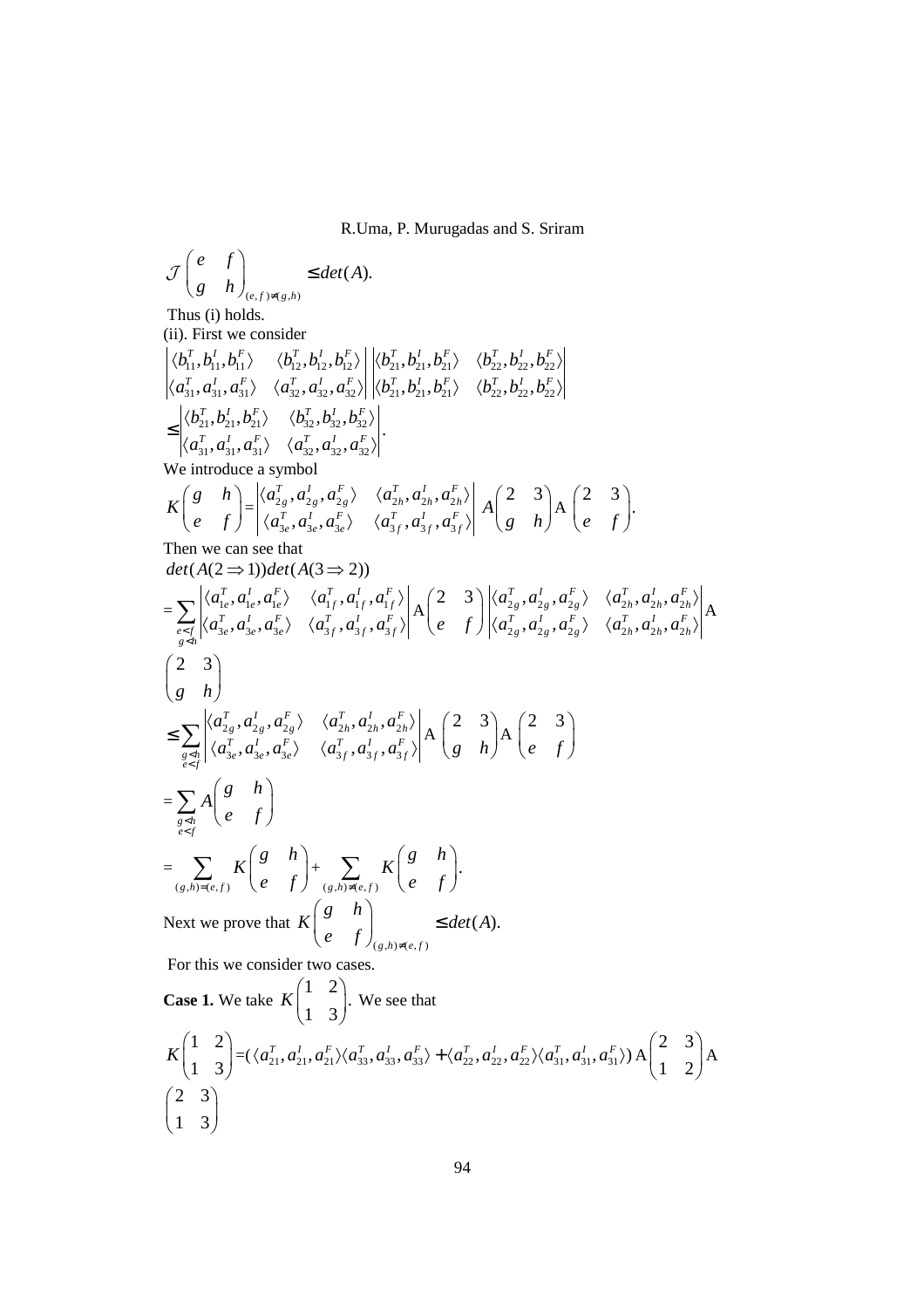$$
\mathcal{J}\begin{pmatrix} e & f \\ g & h \end{pmatrix}_{(e,f)\neq(g,h)} \leq \det(A).
$$

Thus (i) holds.

(ii). First we consider

$$
\begin{aligned}\n&\left|\langle b_{11}^T, b_{11}^I, b_{11}^F\rangle \quad \langle b_{12}^T, b_{12}^I, b_{12}^F\rangle \right| \left|\langle b_{21}^T, b_{21}^I, b_{21}^F\rangle \quad \langle b_{22}^T, b_{22}^I, b_{22}^F\rangle \right| \\
&\left|\langle a_{31}^T, a_{31}^I, a_{31}^F\rangle \quad \langle a_{32}^T, a_{32}^I, a_{32}^F\rangle \right| \left|\langle b_{21}^T, b_{21}^I, b_{21}^F\rangle \quad \langle b_{22}^T, b_{22}^I, b_{22}^F\rangle \right| \\
&\leq \left|\langle b_{21}^T, b_{21}^I, b_{21}^F\rangle \quad \langle b_{32}^T, b_{32}^I, b_{32}^F\rangle \right| \\
&\left|\langle a_{31}^T, a_{31}^I, a_{31}^F\rangle \quad \langle a_{32}^T, a_{32}^I, a_{32}^F\rangle \right|.\n\end{aligned}
$$

We introduce a symbol

$$
K\begin{pmatrix} g & h \\ e & f \end{pmatrix} = \begin{vmatrix} \langle a_{2g}^T, a_{2g}^I, a_{2g}^F \rangle & \langle a_{2h}^T, a_{2h}^I, a_{2h}^F \rangle \\ \langle a_{3e}^T, a_{3e}^I, a_{3e}^F \rangle & \langle a_{3f}^T, a_{3f}^I, a_{3f}^F \rangle \end{vmatrix} A\begin{pmatrix} 2 & 3 \\ g & h \end{pmatrix} A\begin{pmatrix} 2 & 3 \\ e & f \end{pmatrix}.
$$
  
Then we can see that

Then we can see that  $det(A(2 \implies 1))det(A(3 \implies 2))$ 

$$
\begin{split}\n&= \sum_{\substack{e \le f \\ g \le h}} \left| \langle a_{1e}^{T}, a_{1e}^{I}, a_{1e}^{F} \rangle \quad \langle a_{1f}^{T}, a_{1f}^{I}, a_{1f}^{F} \rangle \right| A\left(2 \quad 3 \atop e \quad f \right) \left| \langle a_{2g}^{T}, a_{2g}^{I}, a_{2g}^{F} \rangle \quad \langle a_{2h}^{T}, a_{2h}^{I}, a_{2h}^{F} \rangle \right| \\
&= \sum_{\substack{g \le h \\ g \le h}} \left| \langle a_{3e}^{T}, a_{3e}^{I}, a_{3e}^{I} \rangle \quad \langle a_{3f}^{T}, a_{3f}^{I}, a_{3f}^{F} \rangle \right| A\left(2 \quad 3 \atop e \quad f \right) \left| \langle a_{2g}^{T}, a_{2g}^{I}, a_{2g}^{F} \rangle \quad \langle a_{2h}^{T}, a_{2h}^{I} \rangle \right| A \\
&= \sum_{\substack{g \le h \\ g \le f}} \left| \langle a_{3e}^{T}, a_{3e}^{I}, a_{3e}^{F} \rangle \quad \langle a_{3f}^{T}, a_{3f}^{I}, a_{3f}^{F} \rangle \right| A\left(2 \quad 3 \atop e \quad f \right) A\left(2 \quad 3 \atop e \quad f \right) \\
&= \sum_{\substack{g \le h \\ g \le f}} A\left( \begin{array}{c} g & h \\ e & f \end{array} \right) + \sum_{\substack{(g,h) \ne (e,f) \\ g \le h \ne (e,f)}} K\left( \begin{array}{c} g & h \\ e & f \end{array} \right) . \\
\text{Next we prove that } K\left( \begin{array}{c} g & h \\ e & f \end{array} \right)_{\substack{(g,h) \ne (e,f)}} \leq det(A). \\
\text{For this we consider two cases.} \\
\text{Case 1. We take } K\left( \begin{array}{c} 1 & 2 \\ 1 & 3 \end{array} \right). \text{ We see that}\n\end{split}
$$

$$
K\begin{pmatrix} 1 & 2 \ 1 & 3 \end{pmatrix} = (\langle a_{21}^T, a_{21}^T, a_{21}^T \rangle \langle a_{33}^T, a_{33}^T, a_{33}^T \rangle + \langle a_{22}^T, a_{22}^T, a_{22}^T \rangle \langle a_{31}^T, a_{31}^T \rangle) A\begin{pmatrix} 2 & 3 \ 1 & 2 \end{pmatrix} A
$$
  

$$
\begin{pmatrix} 2 & 3 \ 1 & 3 \end{pmatrix}
$$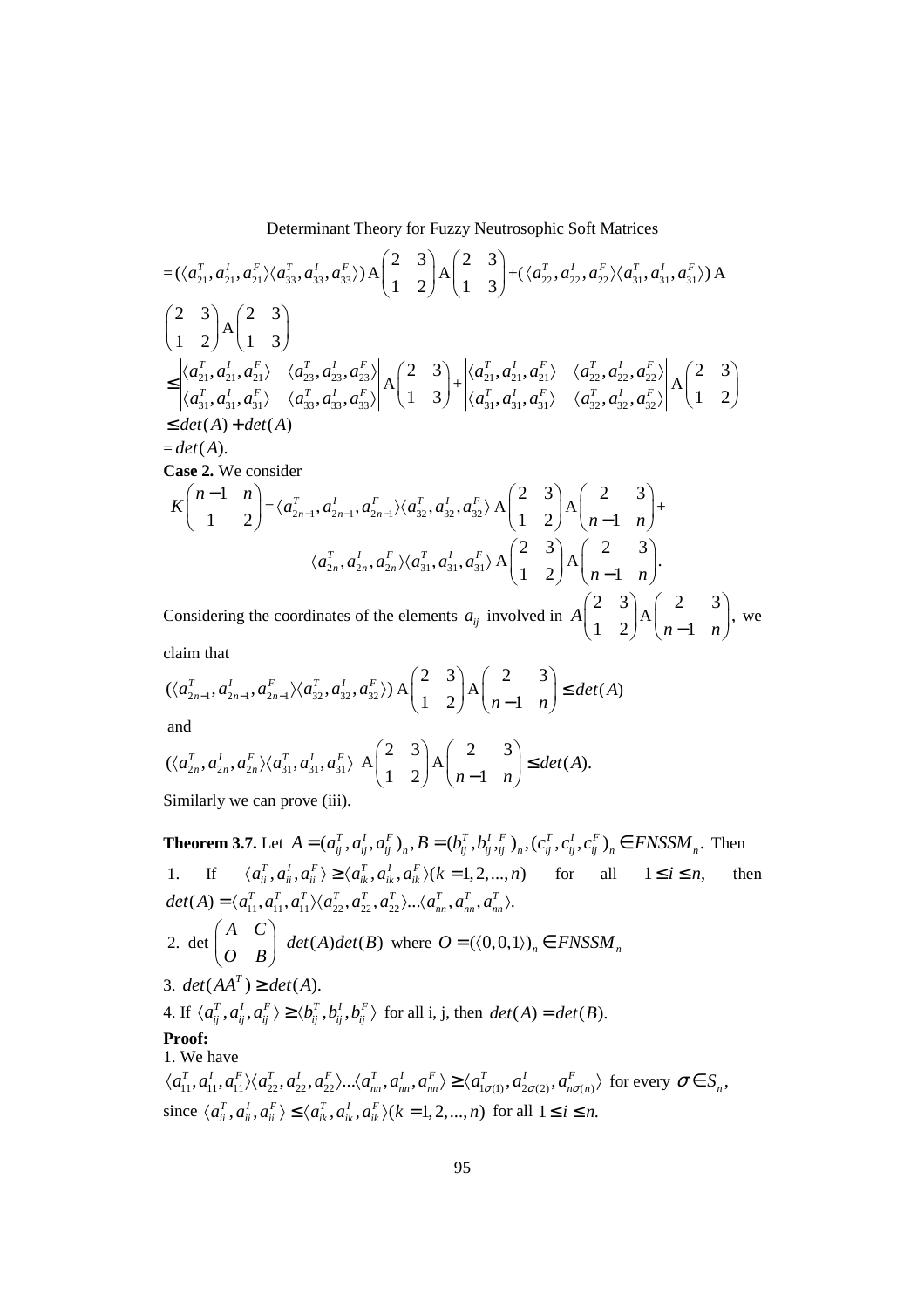$$
= (\langle a_{21}^{T}, a_{21}^{I}, a_{21}^{F} \rangle \langle a_{33}^{T}, a_{33}^{I} \rangle) A \begin{pmatrix} 2 & 3 \\ 1 & 2 \end{pmatrix} A \begin{pmatrix} 2 & 3 \\ 1 & 3 \end{pmatrix} + (\langle a_{22}^{T}, a_{22}^{I}, a_{22}^{F} \rangle \langle a_{31}^{T}, a_{31}^{I}, a_{31}^{F} \rangle) A
$$
\n
$$
\begin{pmatrix} 2 & 3 \\ 1 & 2 \end{pmatrix} A \begin{pmatrix} 2 & 3 \\ 1 & 3 \end{pmatrix}
$$
\n
$$
\leq \begin{vmatrix} \langle a_{21}^{T}, a_{21}^{I}, a_{21}^{F} \rangle & \langle a_{23}^{T}, a_{23}^{I}, a_{23}^{F} \rangle \\ \langle a_{31}^{T}, a_{31}^{I}, a_{31}^{F} \rangle & \langle a_{33}^{T}, a_{33}^{I}, a_{33}^{F} \rangle \end{pmatrix} A \begin{pmatrix} 2 & 3 \\ 1 & 3 \end{pmatrix} + \begin{vmatrix} \langle a_{21}^{T}, a_{21}^{I}, a_{21}^{F} \rangle & \langle a_{22}^{T}, a_{22}^{I}, a_{22}^{F} \rangle \\ \langle a_{31}^{T}, a_{31}^{I}, a_{31}^{F} \rangle & \langle a_{32}^{T}, a_{32}^{I}, a_{32}^{F} \rangle \end{pmatrix} A \begin{pmatrix} 2 & 3 \\ 1 & 2 \end{pmatrix}
$$
\n
$$
\leq det(A) + det(A)
$$
\n
$$
= det(A).
$$
\n**Case 2.** We consider\n
$$
K \begin{pmatrix} n-1 & n \\ 1 & 2 \end{pmatrix} = \langle a_{2n-1}^{T}, a_{2n-1}^{I}, a_{2n-1}^{F} \rangle \langle a_{22}^{T}, a_{23}^{I}, a_{32}^{F} \rangle A \begin{pmatrix} 2 & 3 \\ 1 & 2 \end{pmatrix} A \begin{pmatrix} 2 & 3 \\ n-1 & n \end{pmatrix} + \langle a_{2n}^{T}, a_{2n}^{I}, a_{2n}^{F} \rangle \langle a_{31}^{T}, a_{31}^{I
$$

Considering the coordinates of the elements  $a_{ij}$  involved in  $A\begin{pmatrix} 2 & 3 \\ 1 & 2 \end{pmatrix} A\begin{pmatrix} 2 & 3 \\ n-1 & n \end{pmatrix}$ , we claim that

$$
(\langle a_{2n-1}^T, a_{2n-1}^T, a_{2n-1}^F \rangle \langle a_{32}^T, a_{32}^T, a_{32}^F \rangle) \mathbf{A} \begin{pmatrix} 2 & 3 \\ 1 & 2 \end{pmatrix} \mathbf{A} \begin{pmatrix} 2 & 3 \\ n-1 & n \end{pmatrix} \le det(\mathbf{A})
$$

and

$$
\left(\langle a_{2n}^T, a_{2n}^I, a_{2n}^F \rangle \langle a_{31}^T, a_{31}^I, a_{31}^F \rangle \right) A \begin{pmatrix} 2 & 3 \\ 1 & 2 \end{pmatrix} A \begin{pmatrix} 2 & 3 \\ n-1 & n \end{pmatrix} \le det(A).
$$
  
Similarly we can prove (iii).

**Theorem 3.7.** Let  $A = (a_{ij}^T, a_{ij}^I, a_{ij}^F)_n$ ,  $B = (b_{ij}^T, b_{ij}^I, b_{ij}^I, b_{ij}^I, c_{ij}^I, c_{ij}^F, c_{ij}^I, c_{ij}^F)_n \in FNSSM_n$ . Then 1. If  $\langle a_{ii}^T, a_{ii}^T, a_{ii}^T \rangle \ge \langle a_{ii}^T, a_{ii}^T, a_{ii}^T \rangle (k = 1, 2, ..., n)$  for all  $1 \le i \le n$ , then  $det(A) = \langle a_{11}^T, a_{11}^T, a_{11}^T \rangle \langle a_{22}^T, a_{22}^T, a_{22}^T \rangle ... \langle a_{nn}^T, a_{nn}^T, a_{nn}^T \rangle.$ 2. det  $\begin{pmatrix} A & C \\ O & B \end{pmatrix}$  det(A)det(B) where  $O = (\langle 0, 0, 1 \rangle)_n \in FNSSM_n$ 3.  $det(AA^T) \geq det(A)$ . 4. If  $\langle a_{ij}^T, a_{ij}^I, a_{ij}^F \rangle \ge \langle b_{ij}^T, b_{ij}^I, b_{ij}^F \rangle$  for all i, j, then  $det(A) = det(B)$ . Proof: 1. We have  $\langle a_{11}^T, a_{11}^I, a_{11}^F \rangle \langle a_{22}^T, a_{22}^I, a_{22}^F \rangle \dots \langle a_{nn}^T, a_{nn}^I, a_{nn}^F \rangle \ge \langle a_{1\sigma(1)}^T, a_{2\sigma(2)}^I, a_{n\sigma(n)}^F \rangle$  for every  $\sigma \in S_n$ , since  $\langle a_{ii}^T, a_{ii}^l, a_{ii}^F \rangle \leq \langle a_{ik}^T, a_{ik}^T, a_{ik}^F \rangle (k = 1, 2, ..., n)$  for all  $1 \leq i \leq n$ .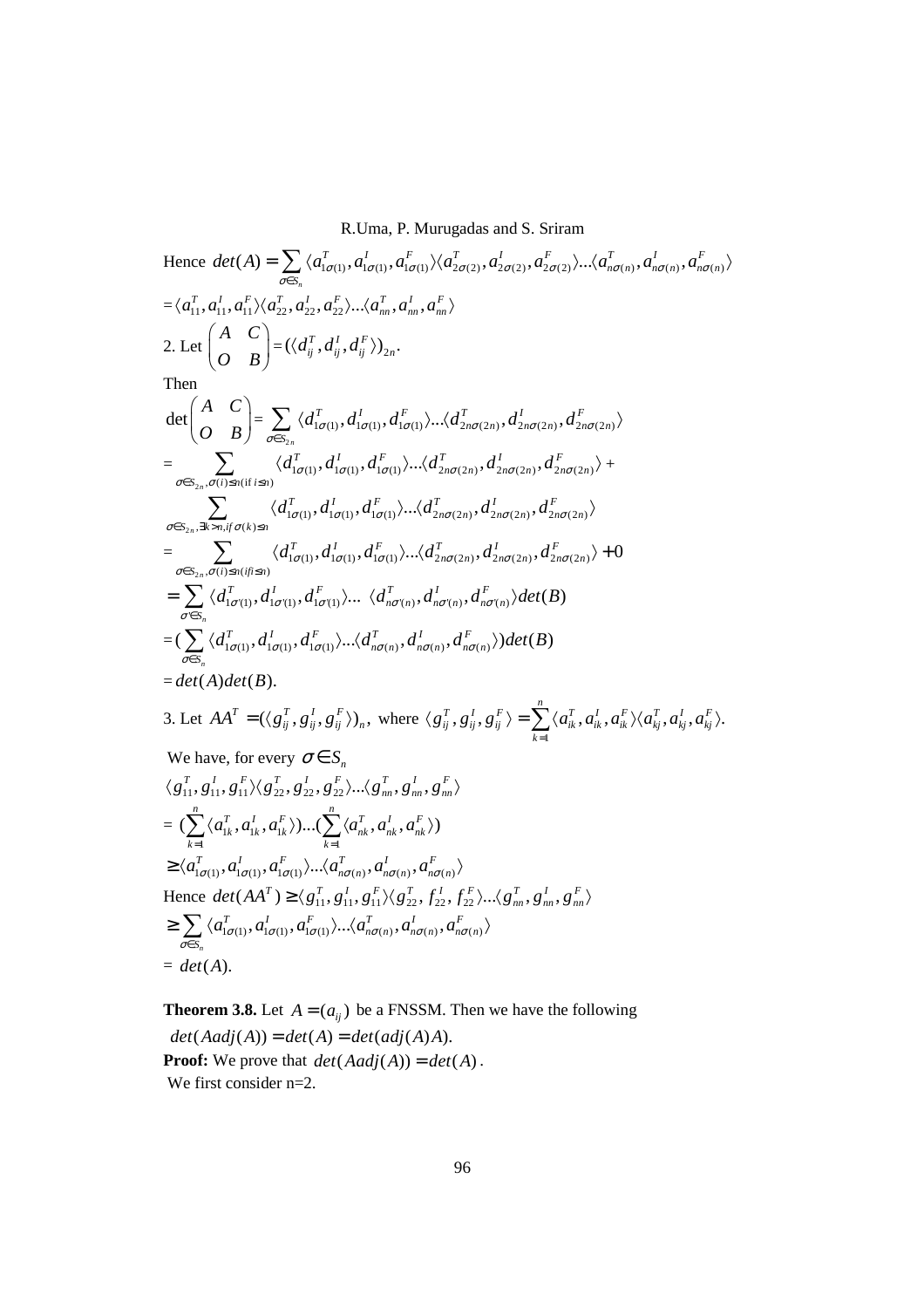Hence 
$$
det(A) = \sum_{\sigma \in S_n} \langle a_{i\sigma(1)}^T, a_{i\sigma(1)}^T, a_{i\sigma(1)}^T \rangle \langle a_{2\sigma(2)}^T, a_{2\sigma(2)}^T, a_{2\sigma(2)}^T \rangle ... \langle a_{n\sigma(n)}^T, a_{n\sigma(n)}^T, a_{n\sigma(n)}^T \rangle
$$
  
\n $= \langle a_{11}^T, a_{11}^T, a_{11}^T \rangle \langle a_{22}^T, a_{22}^T, a_{22}^T \rangle ... \langle a_m^T, a_m^T, a_m^T \rangle$   
\n2. Let  $\begin{pmatrix} A & C \\ O & B \end{pmatrix} = \langle (d_i^T, d_i^T, d_i^T) \rangle_{2n}$ .  
\nThen  
\n $det \begin{pmatrix} A & C \\ O & B \end{pmatrix} = \sum_{\sigma \in S_{2n}} \langle d_{1\sigma(1)}^T, d_{1\sigma(1)}^T, d_{1\sigma(1)}^T \rangle ... \langle d_{2n\sigma(2n)}^T, d_{2n\sigma(2n)}^T, d_{2n\sigma(2n)}^T \rangle$   
\n $= \sum_{\sigma \in S_{2n}, \sigma(i) \le n(i \text{ if } S_n)} \langle d_{1\sigma(1)}^T, d_{1\sigma(1)}^T, d_{1\sigma(1)}^T \rangle ... \langle d_{2n\sigma(2n)}^T, d_{2n\sigma(2n)}^T, d_{2n\sigma(2n)}^T \rangle$   
\n $= \sum_{\sigma \in S_{2n}, \sigma(i) \le n(i \text{ if } S_n)} \langle d_{1\sigma(1)}^T, d_{1\sigma(1)}^T, d_{1\sigma(1)}^T \rangle ... \langle d_{2n\sigma(2n)}^T, d_{2n\sigma(2n)}^T, d_{2n\sigma(2n)}^T \rangle$   
\n $= \sum_{\sigma \in S_{2n}, \sigma(i) \le n(i \text{ if } S_n)} \langle d_{1\sigma(1)}^T, d_{1\sigma(1)}^T, d_{1\sigma(1)}^T \rangle ... \langle d_{n\sigma(n)}^T, d_{n\sigma(n)}^T, d_{n\sigma(2n)}^T, d_{2n\sigma(2n)}^T \rangle$   
\n $= \sum_{\sigma \in S_n} \langle d_{1$ 

**Theorem 3.8.** Let  $A = (a_{ij})$  be a FNSSM. Then we have the following  $det(Aadj(A)) = det(A) = det(adj(A)A).$ **Proof:** We prove that  $det(Aadj(A)) = det(A)$ . We first consider  $n=2$ .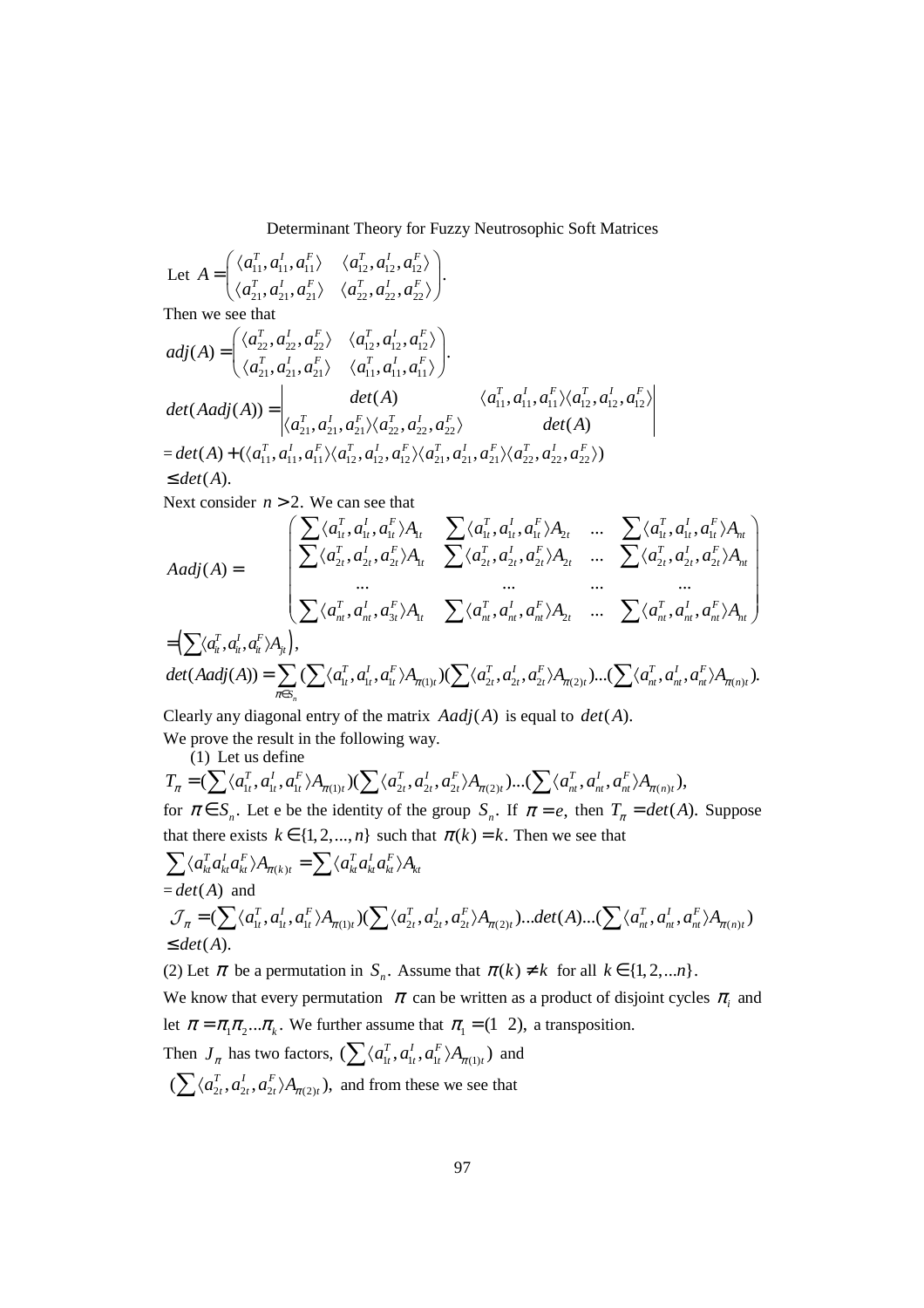Let 
$$
A = \begin{pmatrix} \langle a_{11}^T, a_{11}^I, a_{11}^F \rangle & \langle a_{12}^T, a_{12}^I, a_{12}^F \rangle \\ \langle a_{21}^T, a_{21}^I, a_{21}^F \rangle & \langle a_{22}^T, a_{22}^I, a_{22}^F \rangle \end{pmatrix}
$$
.  
\nThen we see that  
\n
$$
adj(A) = \begin{pmatrix} \langle a_{22}^T, a_{22}^I, a_{22}^F \rangle & \langle a_{12}^T, a_{12}^I, a_{12}^F \rangle \\ \langle a_{21}^T, a_{21}^I, a_{21}^F \rangle & \langle a_{11}^T, a_{11}^I, a_{11}^F \rangle \end{pmatrix}
$$
\n
$$
det(Aadj(A)) = \begin{vmatrix} det(A) & \langle a_{11}^T, a_{11}^I, a_{11}^F \rangle \langle a_{12}^T, a_{12}^I, a_{12}^F \rangle \\ \langle a_{21}^T, a_{21}^I, a_{21}^F \rangle \langle a_{22}^T, a_{22}^I, a_{22}^F \rangle & det(A) \\ = det(A) + (\langle a_{11}^T, a_{11}^I, a_{11}^F \rangle \langle a_{12}^T, a_{12}^I, a_{12}^F \rangle \langle a_{21}^T, a_{21}^I, a_{21}^F \rangle \langle a_{22}^T, a_{22}^I, a_{22}^F \rangle) \end{pmatrix}
$$
\n
$$
\leq det(A).
$$

Next consider  $n > 2$ . We can see that

$$
Aadj(A) = \begin{bmatrix} \sum \langle a_{1t}^T, a_{1t}^I, a_{1t}^F \rangle A_{1t} & \sum \langle a_{1t}^T, a_{1t}^I, a_{1t}^F \rangle A_{2t} & \dots & \sum \langle a_{1t}^T, a_{1t}^I, a_{1t}^F \rangle A_{nt} \\ \sum \langle a_{2t}^T, a_{2t}^I, a_{2t}^F \rangle A_{1t} & \sum \langle a_{2t}^T, a_{2t}^I, a_{2t}^F \rangle A_{2t} & \dots & \sum \langle a_{2t}^T, a_{2t}^I, a_{2t}^F \rangle A_{nt} \\ \dots & \dots & \dots & \dots \\ \sum \langle a_{nt}^T, a_{nt}^I, a_{nt}^F \rangle A_{1t} & \sum \langle a_{nt}^T, a_{nt}^I, a_{nt}^F \rangle A_{2t} & \dots & \sum \langle a_{nt}^T, a_{nt}^I, a_{nt}^F \rangle A_{nt} \end{bmatrix}
$$
  
\n
$$
= \left( \sum \langle a_{nt}^T, a_{nt}^I, a_{nt}^F \rangle A_{jt} \right),
$$
  
\n
$$
det(Aadj(A)) = \sum_{\pi \in S_n} \left( \sum \langle a_{1t}^T, a_{1t}^I, a_{1t}^F \rangle A_{\pi(1)t} \right) \left( \sum \langle a_{2t}^T, a_{2t}^I, a_{2t}^F \rangle A_{\pi(2)t} \right) \dots \left( \sum \langle a_{nt}^T, a_{nt}^I, a_{nt}^F \rangle A_{\pi(n)t} \right).
$$

Clearly any diagonal entry of the matrix  $Aadj(A)$  is equal to  $det(A)$ .

We prove the result in the following way.  $(1)$  Let us define

$$
T_{\pi} = (\sum \langle a_{1t}^{T}, a_{1t}^{T}, a_{1t}^{F} \rangle A_{\pi(1)t}) (\sum \langle a_{2t}^{T}, a_{2t}^{T}, a_{2t}^{F} \rangle A_{\pi(2)t}) ... (\sum \langle a_{nt}^{T}, a_{nt}^{T}, a_{nt}^{F} \rangle A_{\pi(n)t}),
$$

for  $\pi \in S_n$ . Let e be the identity of the group  $S_n$ . If  $\pi = e$ , then  $T_{\pi} = det(A)$ . Suppose that there exists  $k \in \{1, 2, ..., n\}$  such that  $\pi(k) = k$ . Then we see that

$$
\sum \langle a_{kt}^T a_{kt}^T a_{kt}^F \rangle A_{\pi(k)t} = \sum \langle a_{kt}^T a_{kt}^T a_{kt}^F \rangle A_{kt}
$$
  
= det(A) and  

$$
\mathcal{J}_{\pi} = (\sum \langle a_{1t}^T, a_{1t}^T, a_{1t}^F \rangle A_{\pi(1)t}) (\sum \langle a_{2t}^T, a_{2t}^T, a_{2t}^F \rangle A_{\pi(2)t}) ... det(A) ... (\sum \langle a_{nt}^T, a_{nt}^T, a_{nt}^F \rangle A_{\pi(n)t})
$$
  
 $\le det(A).$ 

(2) Let  $\pi$  be a permutation in  $S_n$ . Assume that  $\pi(k) \neq k$  for all  $k \in \{1, 2, \dots n\}$ .

We know that every permutation  $\pi$  can be written as a product of disjoint cycles  $\pi$ <sub>*i*</sub> and let  $\pi = \pi_1 \pi_2 ... \pi_k$ . We further assume that  $\pi_1 = (1 \ 2)$ , a transposition.

Then 
$$
J_{\pi}
$$
 has two factors,  $(\sum \langle a_{1t}^T, a_{1t}^T, a_{1t}^F \rangle A_{\pi(1)t})$  and   
  $(\sum \langle a_{2t}^T, a_{2t}^T, a_{2t}^F \rangle A_{\pi(2)t})$ , and from these we see that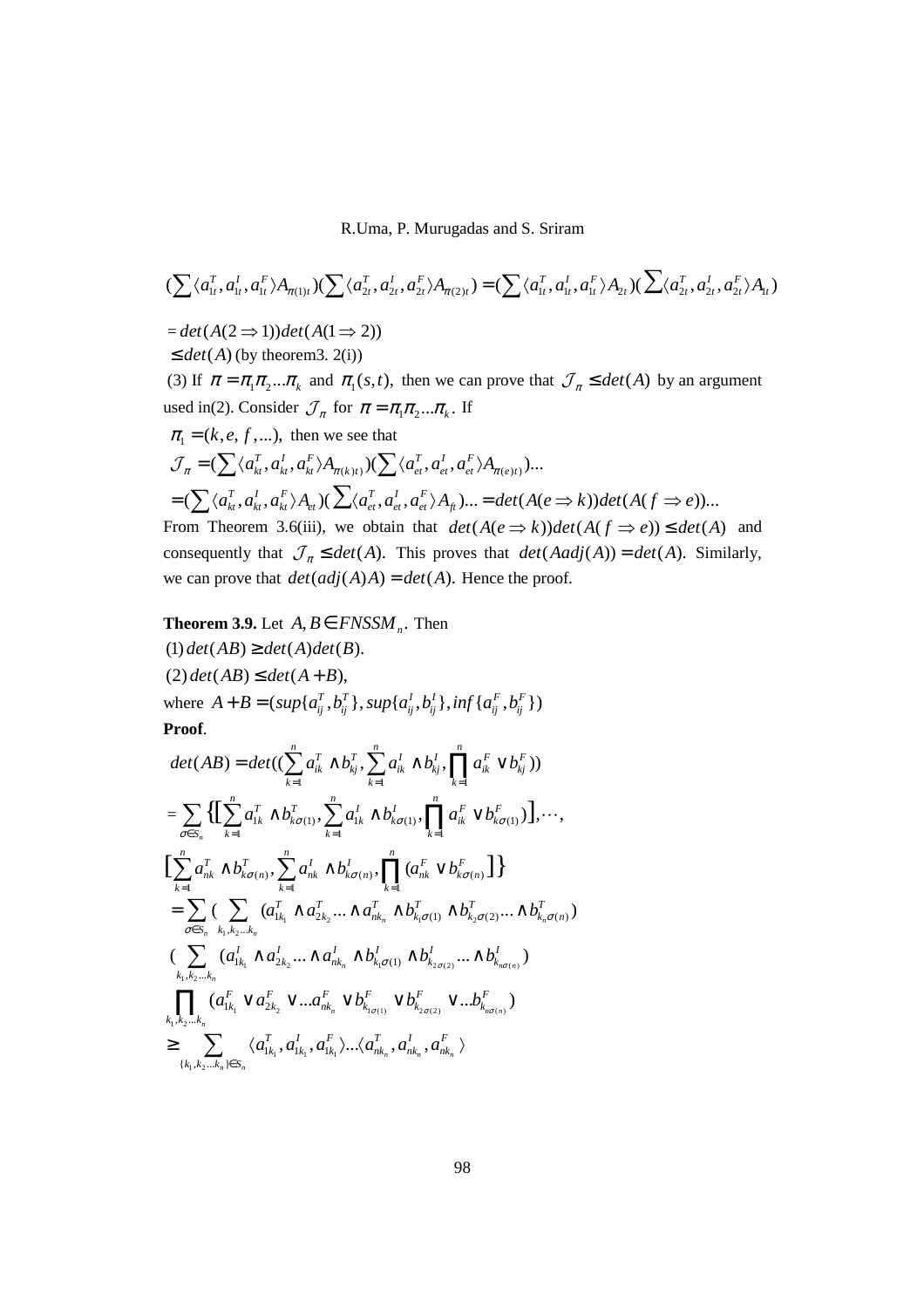$$
(\sum \langle a_{1t}^T, a_{1t}^I, a_{1t}^F \rangle A_{\pi(1)t}) (\sum \langle a_{2t}^T, a_{2t}^I, a_{2t}^F \rangle A_{\pi(2)t}) = (\sum \langle a_{1t}^T, a_{1t}^I, a_{1t}^F \rangle A_{2t}) (\sum \langle a_{2t}^T, a_{2t}^I, a_{2t}^F \rangle A_{1t})
$$
  
\n= det $(A(2 \Rightarrow 1))$ det $(A(1 \Rightarrow 2))$   
\n $\leq det(A)$  (by theorem3. 2(i))  
\n(3) If  $\pi = \pi_1 \pi_2 ... \pi_k$  and  $\pi_1(s, t)$ , then we can prove that  $\mathcal{J}_{\pi} \leq det(A)$  by an argument  
\nused in(2). Consider  $\mathcal{J}_{\pi}$  for  $\pi = \pi_1 \pi_2 ... \pi_k$ . If  
\n $\pi_1 = (k, e, f, ...)$ , then we see that  
\n $\mathcal{J}_{\pi} = (\sum \langle a_{ki}^T, a_{ki}^I, a_{ki}^F \rangle A_{\pi(k)t}) (\sum \langle a_{ei}^T, a_{ei}^I, a_{ei}^F \rangle A_{\pi(e)t}) ...$   
\n $= (\sum \langle a_{ki}^T, a_{ki}^I, a_{ki}^F \rangle A_{et}) (\sum \langle a_{ei}^T, a_{ei}^I, a_{ei}^F \rangle A_{\hat{H}}) ... = det(A(e \Rightarrow k))det(A(f \Rightarrow e)) ...$   
\nFrom Theorem 3.6(iii), we obtain that  $det(A(e \Rightarrow k))det(A(f \Rightarrow e)) \leq det(A)$  and  
\nconsequently that  $\mathcal{J}_{\pi} \leq det(A)$ . This proves that  $det(Aadj(A)) = det(A)$ . Similarly,  
\nwe can prove that  $det(adj(A)A) = det(A)$ . Hence the proof.

**Theorem 3.9.** Let 
$$
A, B \in FNSSM_n
$$
. Then

(1) 
$$
det(AB) \ge det(A)det(B)
$$
.  
\n(2)  $det(AB) \le det(A+B)$ ,  
\nwhere  $A + B = (sup\{a_{ij}^T, b_{ij}^T\}, sup\{a_{ij}^L, b_{ij}^L\}, inf\{a_{ij}^F, b_{ij}^F\})$   
\n**Proof.**

$$
det(AB) = det((\sum_{k=1}^{n} a_{ik}^{T} \wedge b_{kj}^{T}, \sum_{k=1}^{n} a_{ik}^{T} \wedge b_{kj}^{T}, \prod_{k=1}^{n} a_{ik}^{F} \vee b_{kj}^{F}))
$$
\n
$$
= \sum_{\sigma \in S_{n}} \{ [\sum_{k=1}^{n} a_{ik}^{T} \wedge b_{k\sigma(1)}^{T}, \sum_{k=1}^{n} a_{ik}^{T} \wedge b_{k\sigma(1)}^{T}, \prod_{k=1}^{n} a_{ik}^{F} \vee b_{k\sigma(1)}^{F})], \cdots,
$$
\n
$$
[\sum_{k=1}^{n} a_{nk}^{T} \wedge b_{k\sigma(n)}^{T}, \sum_{k=1}^{n} a_{nk}^{T} \wedge b_{k\sigma(n)}^{T}, \prod_{k=1}^{n} (a_{nk}^{F} \vee b_{k\sigma(n)}^{F})]\}
$$
\n
$$
= \sum_{\sigma \in S_{n}} (\sum_{k_{1},k_{2}...k_{n}} (a_{1k_{1}}^{T} \wedge a_{2k_{2}}^{T} \cdots \wedge a_{nk_{n}}^{T} \wedge b_{k_{1}\sigma(1)}^{T} \wedge b_{k_{2}\sigma(2)}^{T} \cdots \wedge b_{k_{n}\sigma(n)}^{T})
$$
\n
$$
(\sum_{k_{1},k_{2}...k_{n}} (a_{1k_{1}}^{T} \wedge a_{2k_{2}}^{F} \cdots \wedge a_{nk_{n}}^{T} \wedge b_{k_{1}\sigma(1)}^{F} \wedge b_{k_{2\sigma(2)}}^{F} \cdots \wedge b_{k_{n\sigma(n)}}^{F})
$$
\n
$$
\prod_{k_{1},k_{2}...k_{n}} (a_{1k_{1}}^{F} \vee a_{k_{2}}^{F} \vee \cdots a_{nk_{n}}^{F} \vee b_{k_{1\sigma(1)}}^{F} \vee b_{k_{2\sigma(2)}}^{F} \vee \cdots b_{k_{n\sigma(n)}}^{F})
$$
\n
$$
\geq \sum_{\{k_{1},k_{2}...k_{n}\} \in S_{n}} \langle a_{1k_{1}}^{T}, a_{1k_{1}}^{T}, a_{1k_{1}}^{T}, \cdots \langle a_{nk_{n}}^{T}, a_{nk_{n}}^{T}, a
$$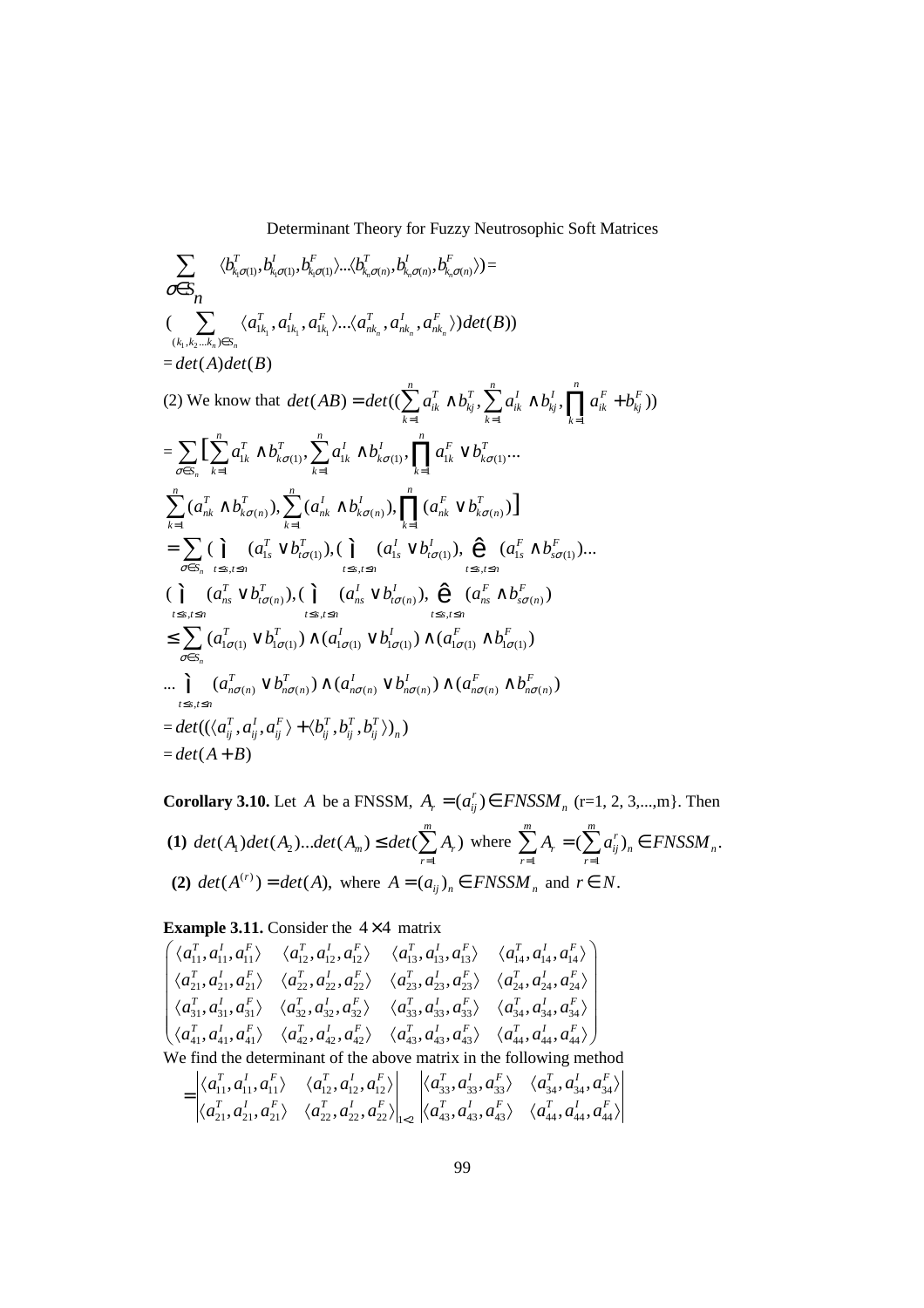$$
\sum_{\sigma \in S_n} \langle b_{k,\sigma(1)}^T, b_{k,\sigma(1)}^T, b_{k,\sigma(1)}^T, b_{k,\sigma(n)}^T, b_{k,\sigma(n)}^T, b_{k,\sigma(n)}^T \rangle \rangle =
$$
\n
$$
(\sum_{(k_1,k_2...k_n) \in S_n} \langle a_{1k_1}^T, a_{1k_1}^T, a_{1k_1}^T, \ldots \langle a_{nk_n}^T, a_{nk_n}^T, a_{nk_n}^T \rangle) det(B))
$$
\n
$$
= det(A) det(B)
$$
\n(2) We know that  $det(AB) = det((\sum_{k=1}^n a_{ik}^T \wedge b_{kj}^T, \sum_{k=1}^n a_{ik}^T \wedge b_{kj}^T, \sum_{k=1}^n a_{ik}^T \wedge b_{kj}^T, \prod_{k=1}^n a_{ik}^F + b_{kj}^F))$ \n
$$
= \sum_{\sigma \in S_n} [\sum_{k=1}^n a_{1k}^T \wedge b_{k\sigma(1)}^T, \sum_{k=1}^n a_{1k}^T \wedge b_{k\sigma(1)}^T, \prod_{k=1}^n a_{1k}^F \vee b_{k\sigma(1)}^T, \ldots
$$
\n
$$
\sum_{k=1}^n (a_{nk}^T \wedge b_{k\sigma(n)}^T), \sum_{k=1}^n (a_{nk}^T \wedge b_{k\sigma(n)}^T), \prod_{k=1}^n (a_{nk}^F \vee b_{k\sigma(n)}^T)]
$$
\n
$$
= \sum_{\sigma \in S_n} (\prod_{k \leq k, j \leq n} (a_{1k}^T \vee b_{i\sigma(1)}^T), (\prod_{l \leq s, l \leq n} (a_{1s}^I \vee b_{l\sigma(1)}^l), \bigoplus_{l \leq s, l \leq n} (a_{1s}^F \wedge b_{s\sigma(1)}^F) \ldots
$$
\n
$$
= \sum_{\sigma \in S_n} (a_{1\sigma(1)}^T \vee b_{1\sigma(1)}^T) \wedge (a_{1\sigma(1)}^I \vee b_{1\sigma(1)}^I) \wedge (a_{1\sigma(1)}^F \wedge b_{k\sigma(1)}^F)
$$
\n

**Corollary 3.10.** Let *A* be a FNSSM,  $A_r = (a_{ij}^r) \in FNSSM$   $r = (r = 1, 2, 3, \ldots, m)$ . Then **(1)**  $det(A_1)det(A_2)$ 1  $(A_1)det(A_2)...det(A_m) \leq det(\sum A_r)$ *m m r*  $det(A_1)det(A_2)...det(A_m) \leq det(\sum A_i)$  $\leq det(\sum_{r=1}^{n} A_r)$  where  $\sum_{r=1}^{n} A_r = (\sum_{r=1}^{n} A_r)$  $(\sum a_{ii}^r)_n \in FNSSM_n$ . *m m*  $ij/n \subseteq I$  *i n n*  $n \neq n$ *r r r*  $A_r = (\sum a_{ij}^r)_n \in FNSSM$  $\sum_{r=1}^{n} A_r = (\sum_{r=1}^{n} a_{ij}^r)_n \in$ **(2)**  $det(A^{(r)}) = det(A)$ , where  $A = (a_{ij})_n \in FNSSM_n$  and  $r \in N$ .

**Example 3.11.** Consider the  $4 \times 4$  matrix

$$
\begin{pmatrix}\n\langle a_{11}^T, a_{11}^I, a_{11}^F \rangle & \langle a_{12}^T, a_{12}^I, a_{12}^F \rangle & \langle a_{13}^T, a_{13}^I, a_{13}^F \rangle & \langle a_{14}^T, a_{14}^I, a_{14}^F \rangle \\
\langle a_{21}^T, a_{21}^I, a_{21}^F \rangle & \langle a_{22}^T, a_{22}^I, a_{22}^F \rangle & \langle a_{23}^T, a_{23}^I, a_{23}^F \rangle & \langle a_{24}^T, a_{24}^I, a_{24}^F \rangle \\
\langle a_{31}^T, a_{31}^I, a_{31}^F \rangle & \langle a_{32}^T, a_{32}^I, a_{32}^F \rangle & \langle a_{33}^T, a_{33}^I, a_{33}^F \rangle & \langle a_{34}^T, a_{44}^I, a_{44}^F \rangle \\
\langle a_{41}^T, a_{41}^I, a_{41}^F \rangle & \langle a_{42}^T, a_{42}^I, a_{42}^F \rangle & \langle a_{43}^T, a_{43}^I, a_{43}^F \rangle & \langle a_{44}^T, a_{44}^I, a_{44}^F \rangle\n\end{pmatrix}
$$
\nWe find the determinant of the above matrix in the following method\n
$$
= \begin{vmatrix}\n\langle a_{11}^T, a_{11}^I, a_{11}^F \rangle & \langle a_{12}^T, a_{12}^I, a_{12}^F \rangle \\
\langle a_{21}^T, a_{21}^I, a_{21}^F \rangle & \langle a_{22}^T, a_{22}^I, a_{22}^F \rangle \end{vmatrix}_{|c} \begin{vmatrix}\n\langle a_{33}^T, a_{33}^I, a_{33}^F \rangle & \langle a_{34}^T, a_{34}^I, a_{34}^F \rangle \\
\langle a_{44}^T, a_{44}^I, a_{44}^F \rangle\n\end{vmatrix}
$$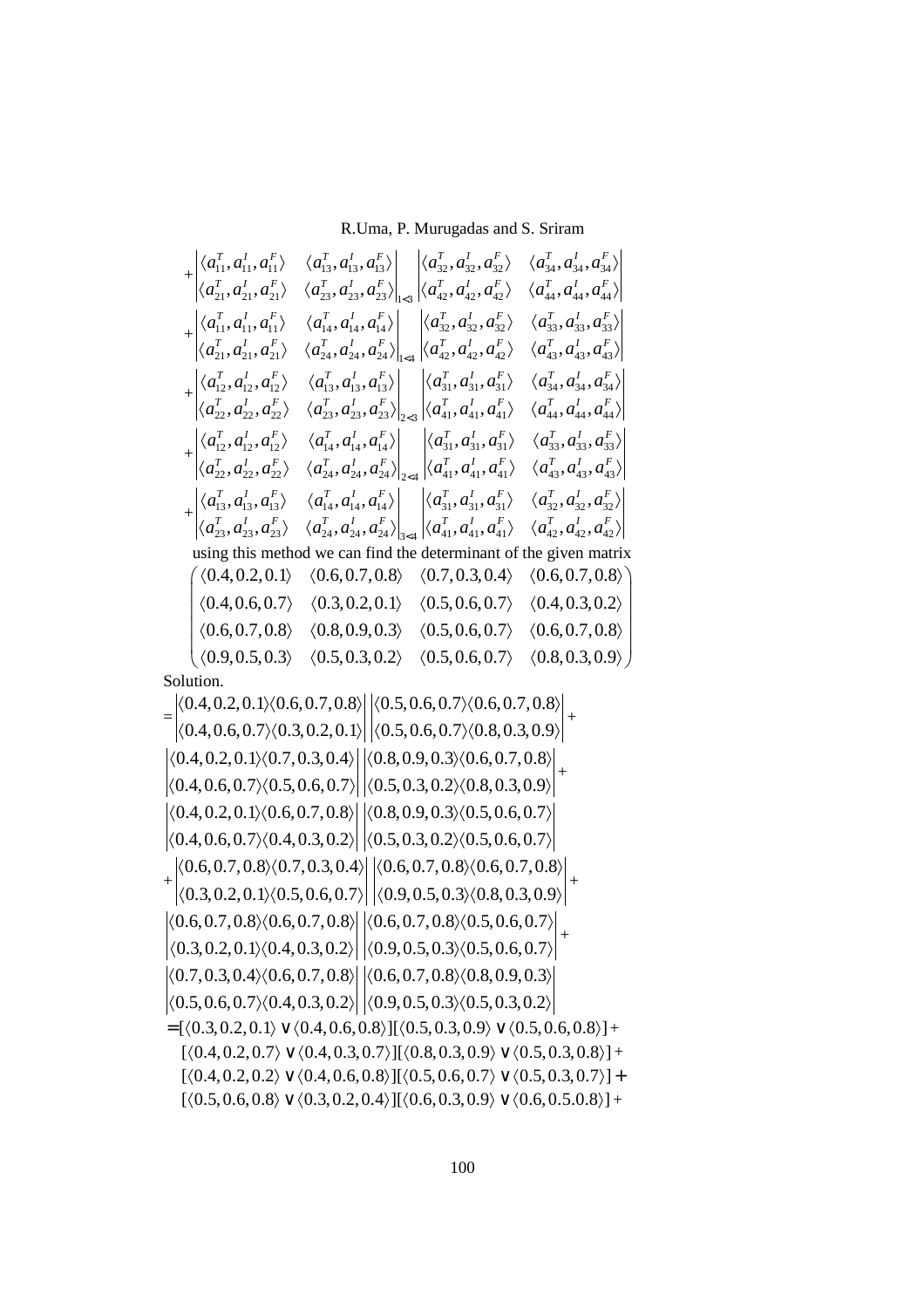$$
+\begin{vmatrix} \langle a_{11}^T, a_{11}^I, a_{11}^F \rangle & \langle a_{13}^T, a_{13}^I, a_{13}^F \rangle \\ \langle a_{21}^T, a_{21}^I, a_{21}^F \rangle & \langle a_{23}^T, a_{23}^I, a_{23}^F \rangle \end{vmatrix}_{1<3} \begin{vmatrix} \langle a_{32}^T, a_{32}^I, a_{32}^F \rangle & \langle a_{34}^T, a_{34}^I, a_{34}^F \rangle \\ \langle a_{11}^T, a_{11}^I, a_{11}^F \rangle & \langle a_{14}^T, a_{14}^I, a_{14}^F \rangle \\ \langle a_{21}^T, a_{21}^I, a_{21}^F \rangle & \langle a_{24}^T, a_{24}^I, a_{24}^F \rangle \end{vmatrix}_{1<4} \begin{vmatrix} \langle a_{32}^T, a_{32}^I, a_{32}^F \rangle & \langle a_{44}^T, a_{44}^I, a_{44}^F \rangle \\ \langle a_{12}^T, a_{12}^I, a_{21}^F \rangle & \langle a_{13}^T, a_{14}^I, a_{14}^F \rangle \\ \langle a_{12}^T, a_{12}^I, a_{12}^F \rangle & \langle a_{13}^T, a_{13}^I, a_{13}^F \rangle \\ \langle a_{22}^T, a_{22}^I, a_{22}^F \rangle & \langle a_{23}^T, a_{23}^I, a_{23}^I \rangle \end{vmatrix}_{1<4} \begin{vmatrix} \langle a_{31}^T, a_{32}^I, a_{32}^F \rangle & \langle a_{43}^T, a_{43}^I, a_{43}^F \rangle \\ \langle a_{43}^T, a_{43}^I, a_{43}^F \rangle \\ \langle a_{43}^T, a_{43}^I, a_{43}^F \rangle \\ \langle a_{42}^T, a_{12}^I, a_{12}^F \rangle & \langle a_{14}^T, a_{14}^I, a_{14}^F \rangle \\ \langle a_{12}^T, a_{12}^I, a_{22}^F \rangle & \langle
$$

|  |  | $(0.4, 0.2, 0.1)$ $(0.6, 0.7, 0.8)$ $(0.7, 0.3, 0.4)$ $(0.6, 0.7, 0.8)$                                                                                 |  |                                                                         |
|--|--|---------------------------------------------------------------------------------------------------------------------------------------------------------|--|-------------------------------------------------------------------------|
|  |  | $\vert$ $\langle 0.4, 0.6, 0.7 \rangle$ $\langle 0.3, 0.2, 0.1 \rangle$ $\langle 0.5, 0.6, 0.7 \rangle$ $\langle 0.4, 0.3, 0.2 \rangle$                 |  |                                                                         |
|  |  | $\big  \langle 0.6, 0.7, 0.8 \rangle \quad \langle 0.8, 0.9, 0.3 \rangle \quad \langle 0.5, 0.6, 0.7 \rangle \quad \langle 0.6, 0.7, 0.8 \rangle \big $ |  |                                                                         |
|  |  |                                                                                                                                                         |  | $(0.9, 0.5, 0.3)$ $(0.5, 0.3, 0.2)$ $(0.5, 0.6, 0.7)$ $(0.8, 0.3, 0.9)$ |
|  |  |                                                                                                                                                         |  |                                                                         |

Solution.

$$
= \begin{vmatrix} \langle 0.4, 0.2, 0.1 \rangle \langle 0.6, 0.7, 0.8 \rangle & \langle 0.5, 0.6, 0.7 \rangle \langle 0.6, 0.7, 0.8 \rangle \\ \langle 0.4, 0.2, 0.1 \rangle \langle 0.7, 0.3, 0.4 \rangle & \langle 0.5, 0.6, 0.7 \rangle \langle 0.8, 0.3, 0.9 \rangle \\ \langle 0.4, 0.2, 0.1 \rangle \langle 0.7, 0.3, 0.4 \rangle & \langle 0.8, 0.9, 0.3 \rangle \langle 0.6, 0.7, 0.8 \rangle \\ \langle 0.4, 0.2, 0.1 \rangle \langle 0.6, 0.7, 0.8 \rangle & \langle 0.8, 0.9, 0.3 \rangle \langle 0.5, 0.3, 0.2 \rangle & \langle 0.8, 0.3, 0.9 \rangle \\ \langle 0.4, 0.2, 0.1 \rangle \langle 0.6, 0.7, 0.8 \rangle & \langle 0.5, 0.3, 0.2 \rangle \langle 0.5, 0.6, 0.7 \rangle \\ \langle 0.4, 0.6, 0.7 \rangle \langle 0.4, 0.3, 0.2 \rangle & \langle 0.5, 0.3, 0.2 \rangle \langle 0.5, 0.6, 0.7 \rangle \\ \langle 0.3, 0.2, 0.1 \rangle \langle 0.5, 0.6, 0.7 \rangle & \langle 0.6, 0.7, 0.8 \rangle \langle 0.6, 0.7, 0.8 \rangle \\ \langle 0.6, 0.7, 0.8 \rangle \langle 0.6, 0.7, 0.8 \rangle & \langle 0.6, 0.7, 0.8 \rangle \langle 0.6, 0.7, 0.8 \rangle \\ \langle 0.3, 0.2, 0.1 \rangle \langle 0.4, 0.3, 0.2 \rangle & \langle 0.6, 0.7, 0.8 \rangle \langle 0.5, 0.6, 0.7 \rangle \\ \langle 0.3, 0.2, 0.1 \rangle \langle 0.4, 0.3, 0.2 \rangle & \langle 0.9, 0.5, 0.3 \rangle \langle 0.5, 0.6,
$$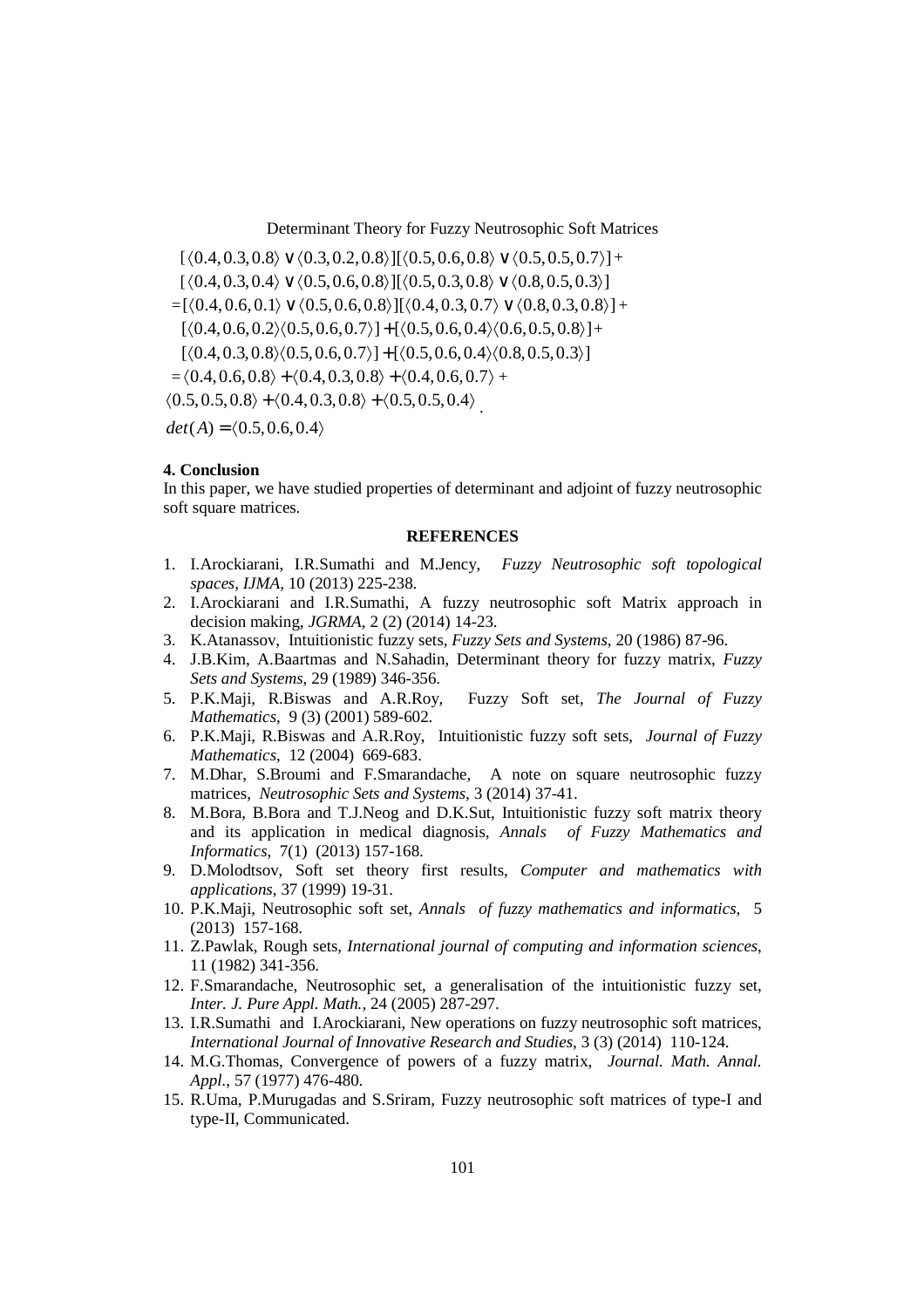$[( \langle 0.4, 0.3, 0.8 \rangle \vee \langle 0.3, 0.2, 0.8 \rangle] [\langle 0.5, 0.6, 0.8 \rangle \vee \langle 0.5, 0.5, 0.7 \rangle] +$  $[( \langle 0.4, 0.3, 0.4 \rangle \vee \langle 0.5, 0.6, 0.8 \rangle] [\langle 0.5, 0.3, 0.8 \rangle \vee \langle 0.8, 0.5, 0.3 \rangle]$  $= [\langle 0.4, 0.6, 0.1 \rangle \vee \langle 0.5, 0.6, 0.8 \rangle] [\langle 0.4, 0.3, 0.7 \rangle \vee \langle 0.8, 0.3, 0.8 \rangle] +$  $[\langle 0.4, 0.6, 0.2 \rangle \langle 0.5, 0.6, 0.7 \rangle] + [\langle 0.5, 0.6, 0.4 \rangle \langle 0.6, 0.5, 0.8 \rangle] +$  $[ \langle 0.4, 0.3, 0.8 \rangle \langle 0.5, 0.6, 0.7 \rangle ] + [ \langle 0.5, 0.6, 0.4 \rangle \langle 0.8, 0.5, 0.3 \rangle ]$  $=\langle 0.4, 0.6, 0.8 \rangle + \langle 0.4, 0.3, 0.8 \rangle + \langle 0.4, 0.6, 0.7 \rangle +$  $(0.5, 0.5, 0.8) + (0.4, 0.3, 0.8) + (0.5, 0.5, 0.4)$  $det(A) = (0.5, 0.6, 0.4)$ 

### **4. Conclusion**

In this paper, we have studied properties of determinant and adjoint of fuzzy neutrosophic soft square matrices.

#### **REFERENCES**

- 1. I.Arockiarani, I.R.Sumathi and M.Jency, *Fuzzy Neutrosophic soft topological spaces, IJMA,* 10 (2013) 225-238.
- 2. I.Arockiarani and I.R.Sumathi, A fuzzy neutrosophic soft Matrix approach in decision making, *JGRMA*, 2 (2) (2014) 14-23.
- 3. K.Atanassov, Intuitionistic fuzzy sets, *Fuzzy Sets and Systems*, 20 (1986) 87-96.
- 4. J.B.Kim, A.Baartmas and N.Sahadin, Determinant theory for fuzzy matrix, *Fuzzy Sets and Systems*, 29 (1989) 346-356.
- 5. P.K.Maji, R.Biswas and A.R.Roy, Fuzzy Soft set, *The Journal of Fuzzy Mathematics*, 9 (3) (2001) 589-602.
- 6. P.K.Maji, R.Biswas and A.R.Roy, Intuitionistic fuzzy soft sets, *Journal of Fuzzy Mathematics*, 12 (2004) 669-683.
- 7. M.Dhar, S.Broumi and F.Smarandache, A note on square neutrosophic fuzzy matrices, *Neutrosophic Sets and Systems,* 3 (2014) 37-41.
- 8. M.Bora, B.Bora and T.J.Neog and D.K.Sut, Intuitionistic fuzzy soft matrix theory and its application in medical diagnosis, *Annals of Fuzzy Mathematics and Informatics*, 7(1) (2013) 157-168.
- 9. D.Molodtsov, Soft set theory first results, *Computer and mathematics with applications*, 37 (1999) 19-31.
- 10. P.K.Maji, Neutrosophic soft set, *Annals of fuzzy mathematics and informatics*, 5 (2013) 157-168.
- 11. Z.Pawlak, Rough sets, *International journal of computing and information sciences*, 11 (1982) 341-356.
- 12. F.Smarandache, Neutrosophic set, a generalisation of the intuitionistic fuzzy set, *Inter. J. Pure Appl. Math.,* 24 (2005) 287-297.
- 13. I.R.Sumathi and I.Arockiarani, New operations on fuzzy neutrosophic soft matrices, *International Journal of Innovative Research and Studies*, 3 (3) (2014) 110-124.
- 14. M.G.Thomas, Convergence of powers of a fuzzy matrix, *Journal. Math. Annal. Appl*., 57 (1977) 476-480.
- 15. R.Uma, P.Murugadas and S.Sriram, Fuzzy neutrosophic soft matrices of type-I and type-II, Communicated.